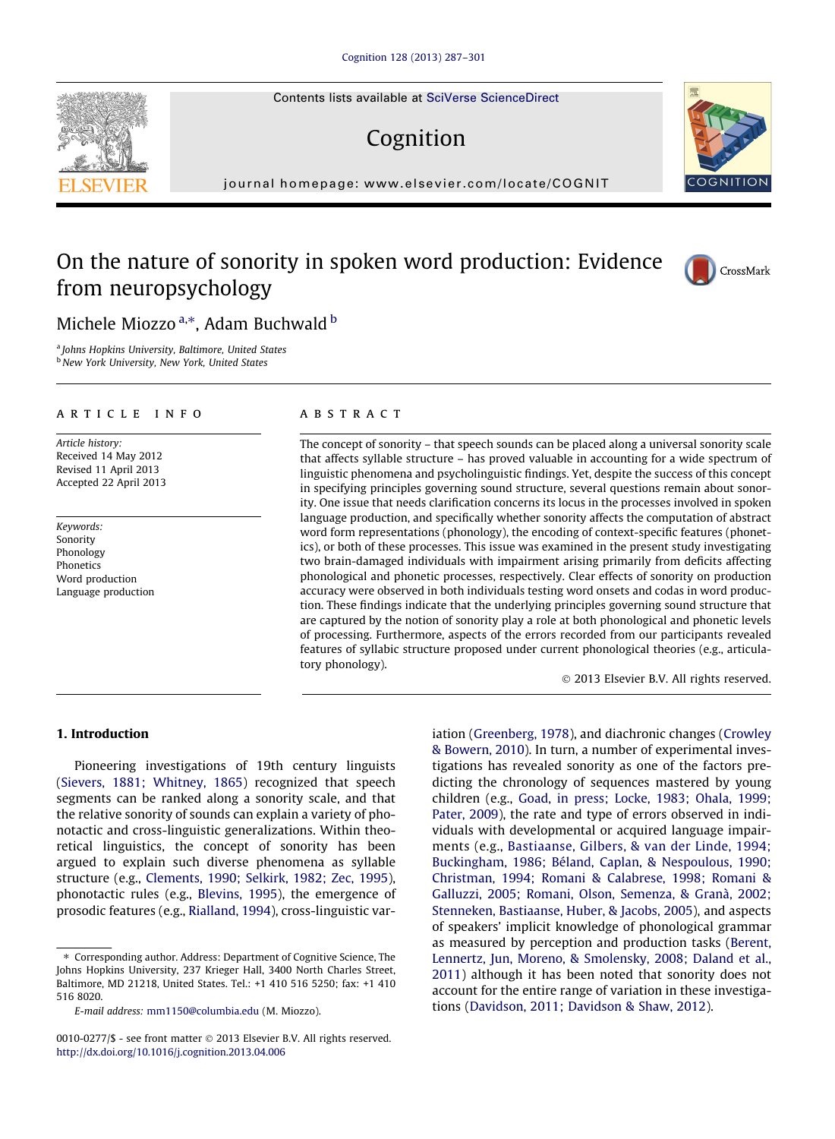Contents lists available at [SciVerse ScienceDirect](http://www.sciencedirect.com/science/journal/00100277)

# Cognition

journal homepage: [www.elsevier.com/locate/COGNIT](http://www.elsevier.com/locate/COGNIT)

## On the nature of sonority in spoken word production: Evidence from neuropsychology

### Michele Miozzo <sup>a,\*</sup>, Adam Buchwald <sup>b</sup>

<sup>a</sup> Johns Hopkins University, Baltimore, United States **b** New York University, New York, United States

#### article info

Article history: Received 14 May 2012 Revised 11 April 2013 Accepted 22 April 2013

Keywords: Sonority Phonology Phonetics Word production Language production

#### ABSTRACT

The concept of sonority – that speech sounds can be placed along a universal sonority scale that affects syllable structure – has proved valuable in accounting for a wide spectrum of linguistic phenomena and psycholinguistic findings. Yet, despite the success of this concept in specifying principles governing sound structure, several questions remain about sonority. One issue that needs clarification concerns its locus in the processes involved in spoken language production, and specifically whether sonority affects the computation of abstract word form representations (phonology), the encoding of context-specific features (phonetics), or both of these processes. This issue was examined in the present study investigating two brain-damaged individuals with impairment arising primarily from deficits affecting phonological and phonetic processes, respectively. Clear effects of sonority on production accuracy were observed in both individuals testing word onsets and codas in word production. These findings indicate that the underlying principles governing sound structure that are captured by the notion of sonority play a role at both phonological and phonetic levels of processing. Furthermore, aspects of the errors recorded from our participants revealed features of syllabic structure proposed under current phonological theories (e.g., articulatory phonology).

- 2013 Elsevier B.V. All rights reserved.

#### 1. Introduction

Pioneering investigations of 19th century linguists ([Sievers, 1881; Whitney, 1865](#page-14-0)) recognized that speech segments can be ranked along a sonority scale, and that the relative sonority of sounds can explain a variety of phonotactic and cross-linguistic generalizations. Within theoretical linguistics, the concept of sonority has been argued to explain such diverse phenomena as syllable structure (e.g., [Clements, 1990; Selkirk, 1982; Zec, 1995](#page-13-0)), phonotactic rules (e.g., [Blevins, 1995\)](#page-12-0), the emergence of prosodic features (e.g., [Rialland, 1994\)](#page-13-0), cross-linguistic variation ([Greenberg, 1978](#page-13-0)), and diachronic changes [\(Crowley](#page-13-0) [& Bowern, 2010\)](#page-13-0). In turn, a number of experimental investigations has revealed sonority as one of the factors predicting the chronology of sequences mastered by young children (e.g., [Goad, in press; Locke, 1983; Ohala, 1999;](#page-13-0) [Pater, 2009](#page-13-0)), the rate and type of errors observed in individuals with developmental or acquired language impairments (e.g., [Bastiaanse, Gilbers, & van der Linde, 1994;](#page-12-0) [Buckingham, 1986; Béland, Caplan, & Nespoulous, 1990;](#page-12-0) [Christman, 1994; Romani & Calabrese, 1998; Romani &](#page-12-0) [Galluzzi, 2005; Romani, Olson, Semenza, & Granà, 2002;](#page-12-0) [Stenneken, Bastiaanse, Huber, & Jacobs, 2005\)](#page-12-0), and aspects of speakers' implicit knowledge of phonological grammar as measured by perception and production tasks [\(Berent,](#page-12-0) [Lennertz, Jun, Moreno, & Smolensky, 2008; Daland et al.,](#page-12-0) [2011\)](#page-12-0) although it has been noted that sonority does not account for the entire range of variation in these investigations [\(Davidson, 2011; Davidson & Shaw, 2012](#page-13-0)).







<sup>⇑</sup> Corresponding author. Address: Department of Cognitive Science, The Johns Hopkins University, 237 Krieger Hall, 3400 North Charles Street, Baltimore, MD 21218, United States. Tel.: +1 410 516 5250; fax: +1 410 516 8020.

E-mail address: [mm1150@columbia.edu](mailto:mm1150@columbia.edu) (M. Miozzo).

<sup>0010-0277/\$ -</sup> see front matter © 2013 Elsevier B.V. All rights reserved. <http://dx.doi.org/10.1016/j.cognition.2013.04.006>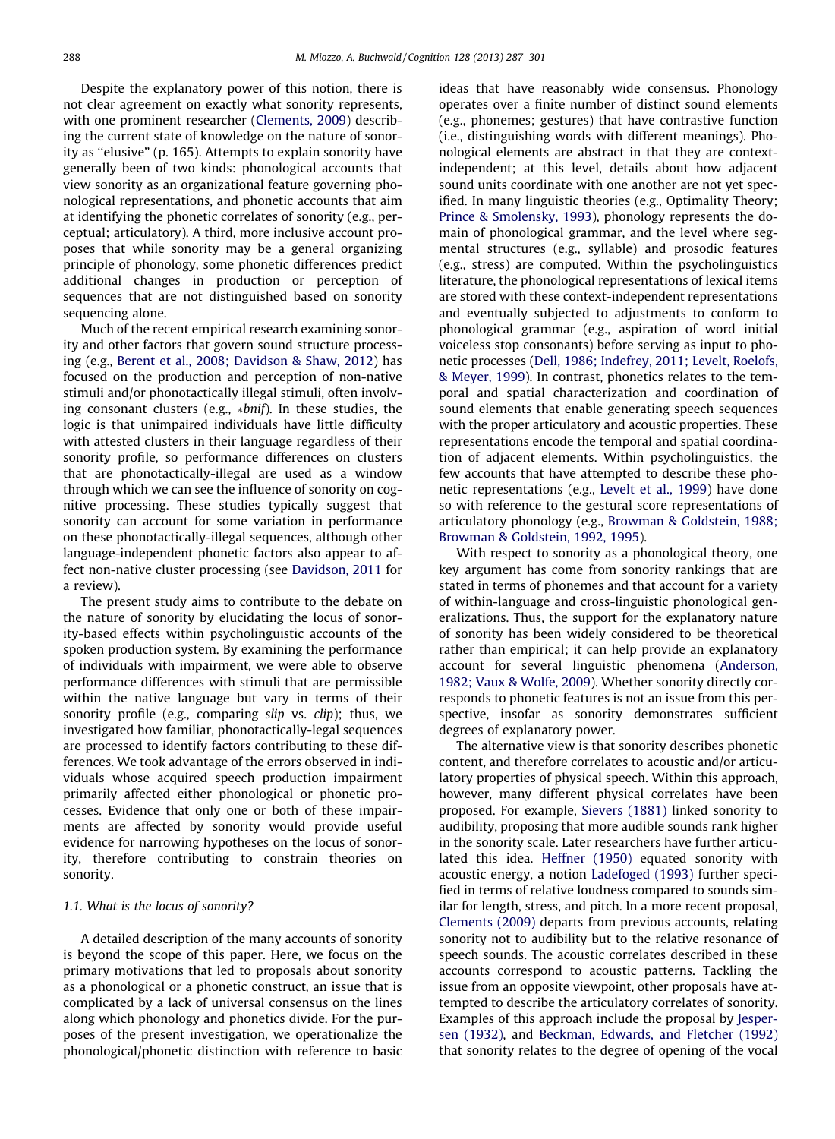Despite the explanatory power of this notion, there is not clear agreement on exactly what sonority represents, with one prominent researcher ([Clements, 2009\)](#page-13-0) describing the current state of knowledge on the nature of sonority as ''elusive'' (p. 165). Attempts to explain sonority have generally been of two kinds: phonological accounts that view sonority as an organizational feature governing phonological representations, and phonetic accounts that aim at identifying the phonetic correlates of sonority (e.g., perceptual; articulatory). A third, more inclusive account proposes that while sonority may be a general organizing principle of phonology, some phonetic differences predict additional changes in production or perception of sequences that are not distinguished based on sonority sequencing alone.

Much of the recent empirical research examining sonority and other factors that govern sound structure processing (e.g., [Berent et al., 2008; Davidson & Shaw, 2012\)](#page-12-0) has focused on the production and perception of non-native stimuli and/or phonotactically illegal stimuli, often involving consonant clusters (e.g., \*bnif). In these studies, the logic is that unimpaired individuals have little difficulty with attested clusters in their language regardless of their sonority profile, so performance differences on clusters that are phonotactically-illegal are used as a window through which we can see the influence of sonority on cognitive processing. These studies typically suggest that sonority can account for some variation in performance on these phonotactically-illegal sequences, although other language-independent phonetic factors also appear to affect non-native cluster processing (see [Davidson, 2011](#page-13-0) for a review).

The present study aims to contribute to the debate on the nature of sonority by elucidating the locus of sonority-based effects within psycholinguistic accounts of the spoken production system. By examining the performance of individuals with impairment, we were able to observe performance differences with stimuli that are permissible within the native language but vary in terms of their sonority profile (e.g., comparing slip vs. clip); thus, we investigated how familiar, phonotactically-legal sequences are processed to identify factors contributing to these differences. We took advantage of the errors observed in individuals whose acquired speech production impairment primarily affected either phonological or phonetic processes. Evidence that only one or both of these impairments are affected by sonority would provide useful evidence for narrowing hypotheses on the locus of sonority, therefore contributing to constrain theories on sonority.

#### 1.1. What is the locus of sonority?

A detailed description of the many accounts of sonority is beyond the scope of this paper. Here, we focus on the primary motivations that led to proposals about sonority as a phonological or a phonetic construct, an issue that is complicated by a lack of universal consensus on the lines along which phonology and phonetics divide. For the purposes of the present investigation, we operationalize the phonological/phonetic distinction with reference to basic

ideas that have reasonably wide consensus. Phonology operates over a finite number of distinct sound elements (e.g., phonemes; gestures) that have contrastive function (i.e., distinguishing words with different meanings). Phonological elements are abstract in that they are contextindependent; at this level, details about how adjacent sound units coordinate with one another are not yet specified. In many linguistic theories (e.g., Optimality Theory; [Prince & Smolensky, 1993](#page-13-0)), phonology represents the domain of phonological grammar, and the level where segmental structures (e.g., syllable) and prosodic features (e.g., stress) are computed. Within the psycholinguistics literature, the phonological representations of lexical items are stored with these context-independent representations and eventually subjected to adjustments to conform to phonological grammar (e.g., aspiration of word initial voiceless stop consonants) before serving as input to phonetic processes ([Dell, 1986; Indefrey, 2011; Levelt, Roelofs,](#page-13-0) [& Meyer, 1999](#page-13-0)). In contrast, phonetics relates to the temporal and spatial characterization and coordination of sound elements that enable generating speech sequences with the proper articulatory and acoustic properties. These representations encode the temporal and spatial coordination of adjacent elements. Within psycholinguistics, the few accounts that have attempted to describe these phonetic representations (e.g., [Levelt et al., 1999](#page-13-0)) have done so with reference to the gestural score representations of articulatory phonology (e.g., [Browman & Goldstein, 1988;](#page-12-0) [Browman & Goldstein, 1992, 1995](#page-12-0)).

With respect to sonority as a phonological theory, one key argument has come from sonority rankings that are stated in terms of phonemes and that account for a variety of within-language and cross-linguistic phonological generalizations. Thus, the support for the explanatory nature of sonority has been widely considered to be theoretical rather than empirical; it can help provide an explanatory account for several linguistic phenomena ([Anderson,](#page-12-0) [1982; Vaux & Wolfe, 2009](#page-12-0)). Whether sonority directly corresponds to phonetic features is not an issue from this perspective, insofar as sonority demonstrates sufficient degrees of explanatory power.

The alternative view is that sonority describes phonetic content, and therefore correlates to acoustic and/or articulatory properties of physical speech. Within this approach, however, many different physical correlates have been proposed. For example, [Sievers \(1881\)](#page-14-0) linked sonority to audibility, proposing that more audible sounds rank higher in the sonority scale. Later researchers have further articulated this idea. [Heffner \(1950\)](#page-13-0) equated sonority with acoustic energy, a notion [Ladefoged \(1993\)](#page-13-0) further specified in terms of relative loudness compared to sounds similar for length, stress, and pitch. In a more recent proposal, [Clements \(2009\)](#page-13-0) departs from previous accounts, relating sonority not to audibility but to the relative resonance of speech sounds. The acoustic correlates described in these accounts correspond to acoustic patterns. Tackling the issue from an opposite viewpoint, other proposals have attempted to describe the articulatory correlates of sonority. Examples of this approach include the proposal by [Jesper](#page-13-0)[sen \(1932\)](#page-13-0), and [Beckman, Edwards, and Fletcher \(1992\)](#page-12-0) that sonority relates to the degree of opening of the vocal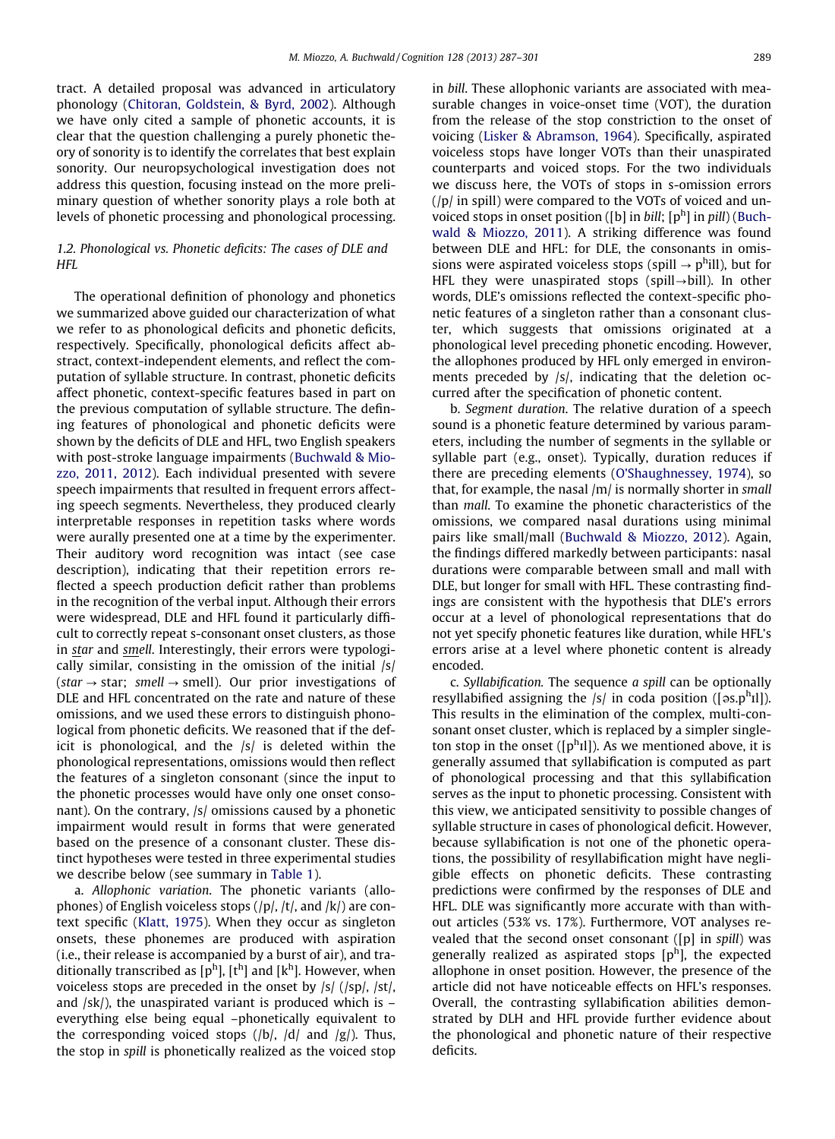tract. A detailed proposal was advanced in articulatory phonology ([Chitoran, Goldstein, & Byrd, 2002\)](#page-13-0). Although we have only cited a sample of phonetic accounts, it is clear that the question challenging a purely phonetic theory of sonority is to identify the correlates that best explain sonority. Our neuropsychological investigation does not address this question, focusing instead on the more preliminary question of whether sonority plays a role both at levels of phonetic processing and phonological processing.

#### 1.2. Phonological vs. Phonetic deficits: The cases of DLE and HFL

The operational definition of phonology and phonetics we summarized above guided our characterization of what we refer to as phonological deficits and phonetic deficits, respectively. Specifically, phonological deficits affect abstract, context-independent elements, and reflect the computation of syllable structure. In contrast, phonetic deficits affect phonetic, context-specific features based in part on the previous computation of syllable structure. The defining features of phonological and phonetic deficits were shown by the deficits of DLE and HFL, two English speakers with post-stroke language impairments [\(Buchwald & Mio](#page-12-0)[zzo, 2011, 2012\)](#page-12-0). Each individual presented with severe speech impairments that resulted in frequent errors affecting speech segments. Nevertheless, they produced clearly interpretable responses in repetition tasks where words were aurally presented one at a time by the experimenter. Their auditory word recognition was intact (see case description), indicating that their repetition errors reflected a speech production deficit rather than problems in the recognition of the verbal input. Although their errors were widespread, DLE and HFL found it particularly difficult to correctly repeat s-consonant onset clusters, as those in star and smell. Interestingly, their errors were typologically similar, consisting in the omission of the initial /s/ (star  $\rightarrow$  star; smell  $\rightarrow$  smell). Our prior investigations of DLE and HFL concentrated on the rate and nature of these omissions, and we used these errors to distinguish phonological from phonetic deficits. We reasoned that if the deficit is phonological, and the /s/ is deleted within the phonological representations, omissions would then reflect the features of a singleton consonant (since the input to the phonetic processes would have only one onset consonant). On the contrary, /s/ omissions caused by a phonetic impairment would result in forms that were generated based on the presence of a consonant cluster. These distinct hypotheses were tested in three experimental studies we describe below (see summary in [Table 1\)](#page-3-0).

a. Allophonic variation. The phonetic variants (allophones) of English voiceless stops (/p/, /t/, and /k/) are context specific [\(Klatt, 1975\)](#page-13-0). When they occur as singleton onsets, these phonemes are produced with aspiration (i.e., their release is accompanied by a burst of air), and traditionally transcribed as [pʰ], [tʰ] and [kʰ]. However, when voiceless stops are preceded in the onset by /s/ (/sp/, /st/, and  $\langle$ sk $\rangle$ ), the unaspirated variant is produced which is  $$ everything else being equal –phonetically equivalent to the corresponding voiced stops  $(|b|, |d|)$  and  $|g|$ ). Thus, the stop in spill is phonetically realized as the voiced stop in bill. These allophonic variants are associated with measurable changes in voice-onset time (VOT), the duration from the release of the stop constriction to the onset of voicing [\(Lisker & Abramson, 1964](#page-13-0)). Specifically, aspirated voiceless stops have longer VOTs than their unaspirated counterparts and voiced stops. For the two individuals we discuss here, the VOTs of stops in s-omission errors (/p/ in spill) were compared to the VOTs of voiced and unvoiced stops in onset position ([b] in *bill*; [p<sup>h</sup>] in *pill*) [\(Buch](#page-12-0)[wald & Miozzo, 2011\)](#page-12-0). A striking difference was found between DLE and HFL: for DLE, the consonants in omissions were aspirated voiceless stops (spill  $\rightarrow$  phill), but for HFL they were unaspirated stops (spill $\rightarrow$ bill). In other words, DLE's omissions reflected the context-specific phonetic features of a singleton rather than a consonant cluster, which suggests that omissions originated at a phonological level preceding phonetic encoding. However, the allophones produced by HFL only emerged in environments preceded by /s/, indicating that the deletion occurred after the specification of phonetic content.

b. Segment duration. The relative duration of a speech sound is a phonetic feature determined by various parameters, including the number of segments in the syllable or syllable part (e.g., onset). Typically, duration reduces if there are preceding elements ([O'Shaughnessey, 1974\)](#page-13-0), so that, for example, the nasal /m/ is normally shorter in small than mall. To examine the phonetic characteristics of the omissions, we compared nasal durations using minimal pairs like small/mall ([Buchwald & Miozzo, 2012](#page-13-0)). Again, the findings differed markedly between participants: nasal durations were comparable between small and mall with DLE, but longer for small with HFL. These contrasting findings are consistent with the hypothesis that DLE's errors occur at a level of phonological representations that do not yet specify phonetic features like duration, while HFL's errors arise at a level where phonetic content is already encoded.

c. Syllabification. The sequence a spill can be optionally resyllabified assigning the  $|s|$  in coda position ([ $\varphi$ s.p $^{\mathrm{h}}$ Il]). This results in the elimination of the complex, multi-consonant onset cluster, which is replaced by a simpler singleton stop in the onset  $([p<sup>h</sup>1])$ . As we mentioned above, it is generally assumed that syllabification is computed as part of phonological processing and that this syllabification serves as the input to phonetic processing. Consistent with this view, we anticipated sensitivity to possible changes of syllable structure in cases of phonological deficit. However, because syllabification is not one of the phonetic operations, the possibility of resyllabification might have negligible effects on phonetic deficits. These contrasting predictions were confirmed by the responses of DLE and HFL. DLE was significantly more accurate with than without articles (53% vs. 17%). Furthermore, VOT analyses revealed that the second onset consonant ([p] in spill) was generally realized as aspirated stops  $[p^h]$ , the expected allophone in onset position. However, the presence of the article did not have noticeable effects on HFL's responses. Overall, the contrasting syllabification abilities demonstrated by DLH and HFL provide further evidence about the phonological and phonetic nature of their respective deficits.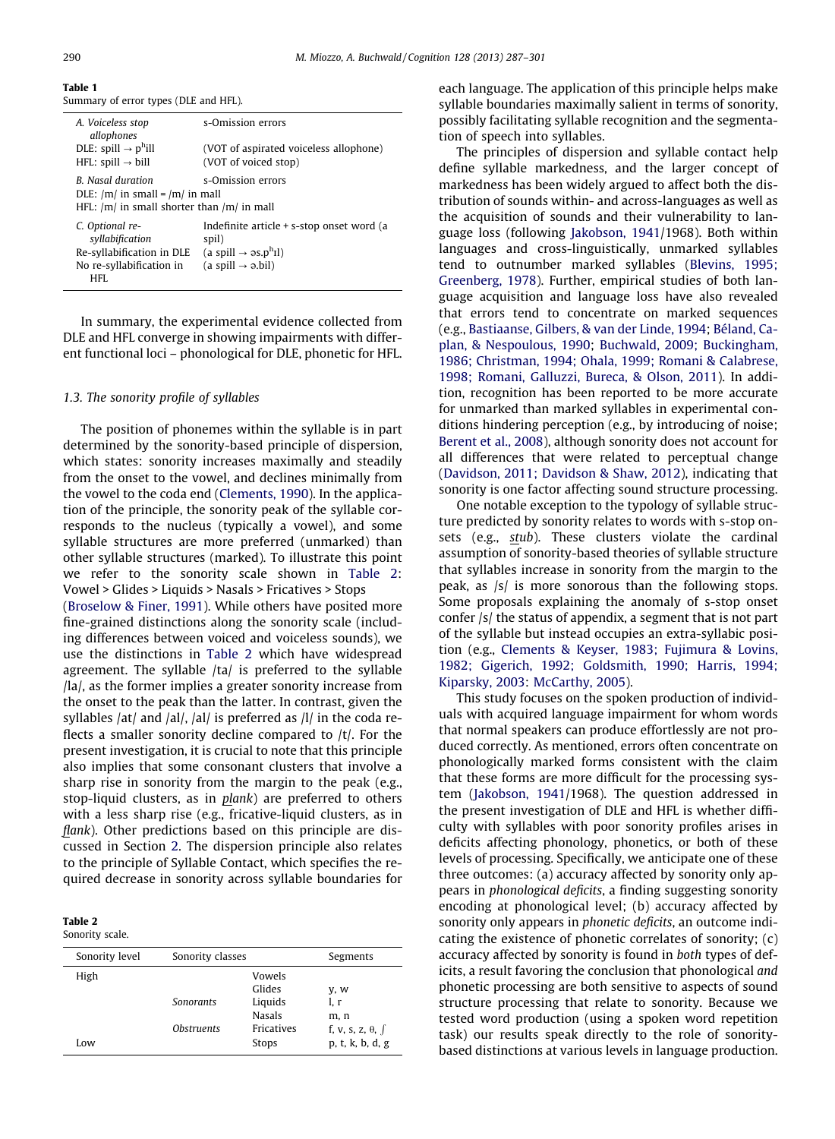<span id="page-3-0"></span>Table 1 Summary of error types (DLE and HFL).

| A. Voiceless stop<br>allophones                                                                                                       | s-Omission errors                                                                                                                                              |  |  |
|---------------------------------------------------------------------------------------------------------------------------------------|----------------------------------------------------------------------------------------------------------------------------------------------------------------|--|--|
| DLE: spill $\rightarrow$ p <sup>h</sup> ill<br>HFL: spill $\rightarrow$ bill                                                          | (VOT of aspirated voiceless allophone)<br>(VOT of voiced stop)                                                                                                 |  |  |
| <b>B</b> Nasal duration<br>s-Omission errors<br>DLE: $/m/$ in small = $/m/$ in mall<br>HFL: $/m/$ in small shorter than $/m/$ in mall |                                                                                                                                                                |  |  |
| C. Optional re-<br>syllabification<br>Re-syllabification in DLE<br>No re-syllabification in<br>HFL                                    | Indefinite article + s-stop onset word (a<br>spil)<br>$(a$ spill $\rightarrow$ $\varphi$ s, $p^h$ <sub>I</sub> l)<br>$(a$ spill $\rightarrow$ $\varphi$ , bil) |  |  |

In summary, the experimental evidence collected from DLE and HFL converge in showing impairments with different functional loci – phonological for DLE, phonetic for HFL.

#### 1.3. The sonority profile of syllables

The position of phonemes within the syllable is in part determined by the sonority-based principle of dispersion, which states: sonority increases maximally and steadily from the onset to the vowel, and declines minimally from the vowel to the coda end [\(Clements, 1990](#page-13-0)). In the application of the principle, the sonority peak of the syllable corresponds to the nucleus (typically a vowel), and some syllable structures are more preferred (unmarked) than other syllable structures (marked). To illustrate this point we refer to the sonority scale shown in Table 2: Vowel > Glides > Liquids > Nasals > Fricatives > Stops

[\(Broselow & Finer, 1991\)](#page-12-0). While others have posited more fine-grained distinctions along the sonority scale (including differences between voiced and voiceless sounds), we use the distinctions in Table 2 which have widespread agreement. The syllable /ta/ is preferred to the syllable /la/, as the former implies a greater sonority increase from the onset to the peak than the latter. In contrast, given the syllables /at/ and /al/, /al/ is preferred as /l/ in the coda reflects a smaller sonority decline compared to /t/. For the present investigation, it is crucial to note that this principle also implies that some consonant clusters that involve a sharp rise in sonority from the margin to the peak (e.g., stop-liquid clusters, as in  $plank$ ) are preferred to others with a less sharp rise (e.g., fricative-liquid clusters, as in flank). Other predictions based on this principle are discussed in Section 2. The dispersion principle also relates to the principle of Syllable Contact, which specifies the required decrease in sonority across syllable boundaries for

#### Table 2

Sonority scale.

| Sonority level<br>Sonority classes<br>Segments<br>Vowels<br>High<br>Glides<br>v, w<br>Liquids<br>Sonorants<br>l, r<br><b>Nasals</b><br>m, n<br><b>Fricatives</b><br><i><b>Obstruents</b></i><br>f, v, s, z, $\theta$ , $\int$<br>p, t, k, b, d, g<br>Stops<br>Low |  |  |  |
|-------------------------------------------------------------------------------------------------------------------------------------------------------------------------------------------------------------------------------------------------------------------|--|--|--|
|                                                                                                                                                                                                                                                                   |  |  |  |
|                                                                                                                                                                                                                                                                   |  |  |  |
|                                                                                                                                                                                                                                                                   |  |  |  |

each language. The application of this principle helps make syllable boundaries maximally salient in terms of sonority, possibly facilitating syllable recognition and the segmentation of speech into syllables.

The principles of dispersion and syllable contact help define syllable markedness, and the larger concept of markedness has been widely argued to affect both the distribution of sounds within- and across-languages as well as the acquisition of sounds and their vulnerability to language loss (following [Jakobson, 1941/](#page-13-0)1968). Both within languages and cross-linguistically, unmarked syllables tend to outnumber marked syllables ([Blevins, 1995;](#page-12-0) [Greenberg, 1978\)](#page-12-0). Further, empirical studies of both language acquisition and language loss have also revealed that errors tend to concentrate on marked sequences (e.g., [Bastiaanse, Gilbers, & van der Linde, 1994;](#page-12-0) [Béland, Ca](#page-12-0)[plan, & Nespoulous, 1990](#page-12-0); [Buchwald, 2009; Buckingham,](#page-12-0) [1986; Christman, 1994; Ohala, 1999; Romani & Calabrese,](#page-12-0) [1998; Romani, Galluzzi, Bureca, & Olson, 2011](#page-12-0)). In addition, recognition has been reported to be more accurate for unmarked than marked syllables in experimental conditions hindering perception (e.g., by introducing of noise; [Berent et al., 2008](#page-12-0)), although sonority does not account for all differences that were related to perceptual change [\(Davidson, 2011; Davidson & Shaw, 2012\)](#page-13-0), indicating that sonority is one factor affecting sound structure processing.

One notable exception to the typology of syllable structure predicted by sonority relates to words with s-stop onsets (e.g., stub). These clusters violate the cardinal assumption of sonority-based theories of syllable structure that syllables increase in sonority from the margin to the peak, as /s/ is more sonorous than the following stops. Some proposals explaining the anomaly of s-stop onset confer /s/ the status of appendix, a segment that is not part of the syllable but instead occupies an extra-syllabic position (e.g., [Clements & Keyser, 1983; Fujimura & Lovins,](#page-13-0) [1982; Gigerich, 1992; Goldsmith, 1990; Harris, 1994;](#page-13-0) [Kiparsky, 2003](#page-13-0): [McCarthy, 2005](#page-13-0)).

This study focuses on the spoken production of individuals with acquired language impairment for whom words that normal speakers can produce effortlessly are not produced correctly. As mentioned, errors often concentrate on phonologically marked forms consistent with the claim that these forms are more difficult for the processing system [\(Jakobson, 1941/](#page-13-0)1968). The question addressed in the present investigation of DLE and HFL is whether difficulty with syllables with poor sonority profiles arises in deficits affecting phonology, phonetics, or both of these levels of processing. Specifically, we anticipate one of these three outcomes: (a) accuracy affected by sonority only appears in phonological deficits, a finding suggesting sonority encoding at phonological level; (b) accuracy affected by sonority only appears in *phonetic deficits*, an outcome indicating the existence of phonetic correlates of sonority; (c) accuracy affected by sonority is found in both types of deficits, a result favoring the conclusion that phonological and phonetic processing are both sensitive to aspects of sound structure processing that relate to sonority. Because we tested word production (using a spoken word repetition task) our results speak directly to the role of sonoritybased distinctions at various levels in language production.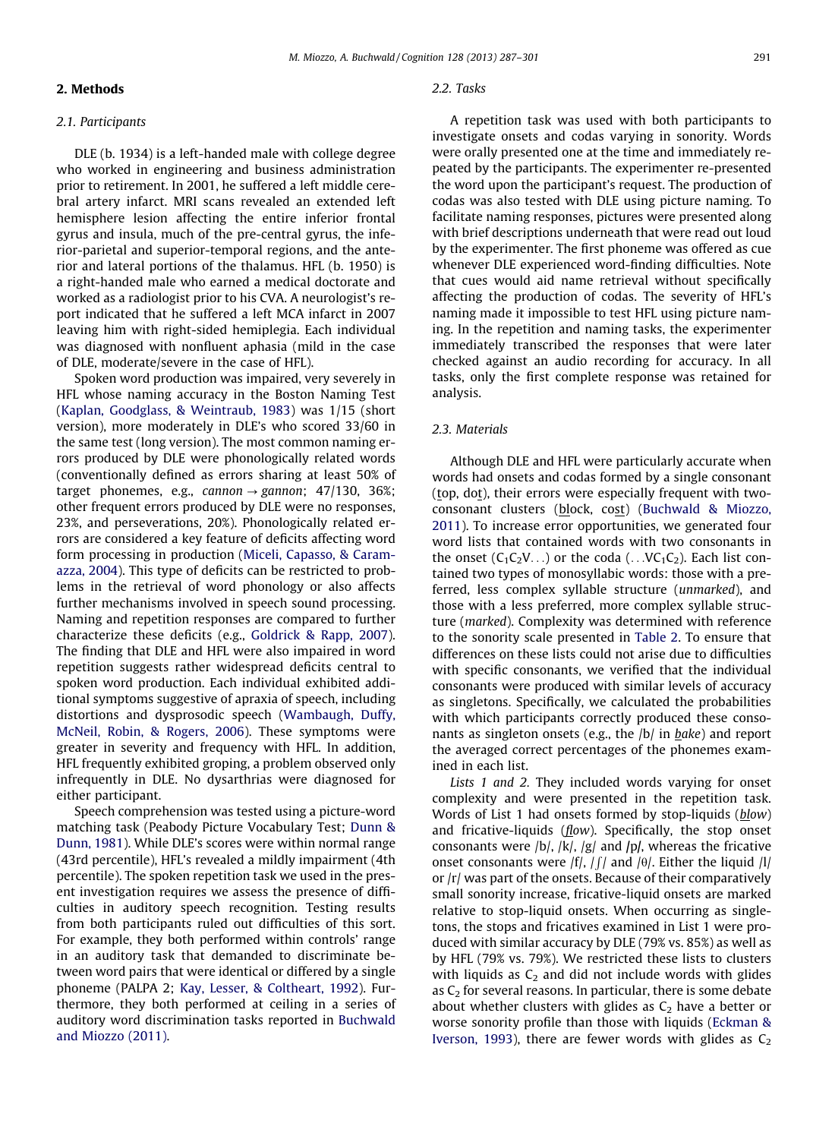#### 2.1. Participants

DLE (b. 1934) is a left-handed male with college degree who worked in engineering and business administration prior to retirement. In 2001, he suffered a left middle cerebral artery infarct. MRI scans revealed an extended left hemisphere lesion affecting the entire inferior frontal gyrus and insula, much of the pre-central gyrus, the inferior-parietal and superior-temporal regions, and the anterior and lateral portions of the thalamus. HFL (b. 1950) is a right-handed male who earned a medical doctorate and worked as a radiologist prior to his CVA. A neurologist's report indicated that he suffered a left MCA infarct in 2007 leaving him with right-sided hemiplegia. Each individual was diagnosed with nonfluent aphasia (mild in the case of DLE, moderate/severe in the case of HFL).

Spoken word production was impaired, very severely in HFL whose naming accuracy in the Boston Naming Test ([Kaplan, Goodglass, & Weintraub, 1983\)](#page-13-0) was 1/15 (short version), more moderately in DLE's who scored 33/60 in the same test (long version). The most common naming errors produced by DLE were phonologically related words (conventionally defined as errors sharing at least 50% of target phonemes, e.g., cannon  $\rightarrow$  gannon; 47/130, 36%; other frequent errors produced by DLE were no responses, 23%, and perseverations, 20%). Phonologically related errors are considered a key feature of deficits affecting word form processing in production ([Miceli, Capasso, & Caram](#page-13-0)[azza, 2004\)](#page-13-0). This type of deficits can be restricted to problems in the retrieval of word phonology or also affects further mechanisms involved in speech sound processing. Naming and repetition responses are compared to further characterize these deficits (e.g., [Goldrick & Rapp, 2007](#page-13-0)). The finding that DLE and HFL were also impaired in word repetition suggests rather widespread deficits central to spoken word production. Each individual exhibited additional symptoms suggestive of apraxia of speech, including distortions and dysprosodic speech [\(Wambaugh, Duffy,](#page-14-0) [McNeil, Robin, & Rogers, 2006](#page-14-0)). These symptoms were greater in severity and frequency with HFL. In addition, HFL frequently exhibited groping, a problem observed only infrequently in DLE. No dysarthrias were diagnosed for either participant.

Speech comprehension was tested using a picture-word matching task (Peabody Picture Vocabulary Test; [Dunn &](#page-13-0) [Dunn, 1981\)](#page-13-0). While DLE's scores were within normal range (43rd percentile), HFL's revealed a mildly impairment (4th percentile). The spoken repetition task we used in the present investigation requires we assess the presence of difficulties in auditory speech recognition. Testing results from both participants ruled out difficulties of this sort. For example, they both performed within controls' range in an auditory task that demanded to discriminate between word pairs that were identical or differed by a single phoneme (PALPA 2; [Kay, Lesser, & Coltheart, 1992\)](#page-13-0). Furthermore, they both performed at ceiling in a series of auditory word discrimination tasks reported in [Buchwald](#page-12-0) [and Miozzo \(2011\).](#page-12-0)

### 2.2. Tasks

A repetition task was used with both participants to investigate onsets and codas varying in sonority. Words were orally presented one at the time and immediately repeated by the participants. The experimenter re-presented the word upon the participant's request. The production of codas was also tested with DLE using picture naming. To facilitate naming responses, pictures were presented along with brief descriptions underneath that were read out loud by the experimenter. The first phoneme was offered as cue whenever DLE experienced word-finding difficulties. Note that cues would aid name retrieval without specifically affecting the production of codas. The severity of HFL's naming made it impossible to test HFL using picture naming. In the repetition and naming tasks, the experimenter immediately transcribed the responses that were later checked against an audio recording for accuracy. In all tasks, only the first complete response was retained for analysis.

#### 2.3. Materials

Although DLE and HFL were particularly accurate when words had onsets and codas formed by a single consonant (top, dot), their errors were especially frequent with twoconsonant clusters (block, cost) [\(Buchwald & Miozzo,](#page-12-0) [2011\)](#page-12-0). To increase error opportunities, we generated four word lists that contained words with two consonants in the onset  $(C_1C_2V...)$  or the coda  $(...VC_1C_2)$ . Each list contained two types of monosyllabic words: those with a preferred, less complex syllable structure (unmarked), and those with a less preferred, more complex syllable structure (marked). Complexity was determined with reference to the sonority scale presented in [Table 2](#page-3-0). To ensure that differences on these lists could not arise due to difficulties with specific consonants, we verified that the individual consonants were produced with similar levels of accuracy as singletons. Specifically, we calculated the probabilities with which participants correctly produced these consonants as singleton onsets (e.g., the  $|b|$  in  $\frac{b}{ab}$  and report the averaged correct percentages of the phonemes examined in each list.

Lists 1 and 2. They included words varying for onset complexity and were presented in the repetition task. Words of List 1 had onsets formed by stop-liquids  $(\underline{blow})$ and fricative-liquids  $(f_{low})$ . Specifically, the stop onset consonants were /b/, /k/, /g/ and /p/, whereas the fricative onset consonants were  $|f|$ ,  $|f|$  and  $|h|$ . Either the liquid  $|h|$ or  $|r|$  was part of the onsets. Because of their comparatively small sonority increase, fricative-liquid onsets are marked relative to stop-liquid onsets. When occurring as singletons, the stops and fricatives examined in List 1 were produced with similar accuracy by DLE (79% vs. 85%) as well as by HFL (79% vs. 79%). We restricted these lists to clusters with liquids as  $C_2$  and did not include words with glides as  $C<sub>2</sub>$  for several reasons. In particular, there is some debate about whether clusters with glides as  $C_2$  have a better or worse sonority profile than those with liquids ([Eckman &](#page-13-0) [Iverson, 1993](#page-13-0)), there are fewer words with glides as  $C_2$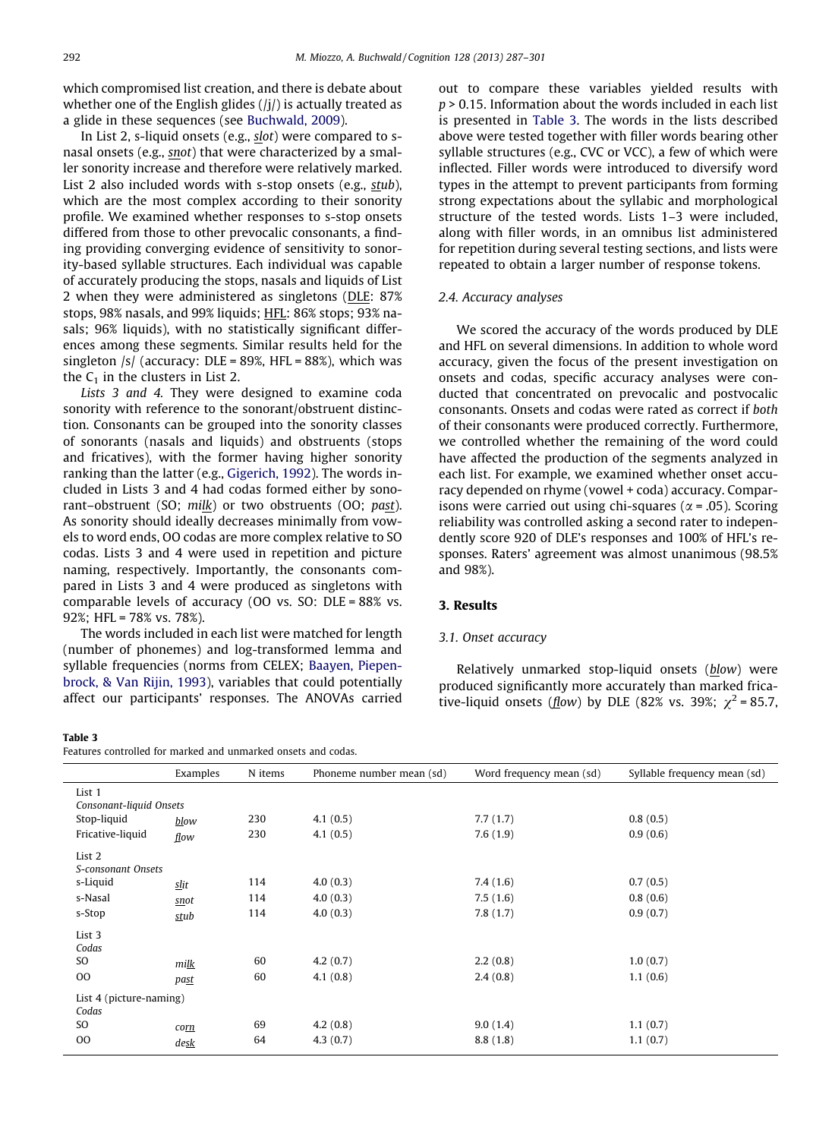which compromised list creation, and there is debate about whether one of the English glides  $(jj)$  is actually treated as a glide in these sequences (see [Buchwald, 2009\)](#page-12-0).

In List 2, s-liquid onsets (e.g., slot) were compared to snasal onsets (e.g., snot) that were characterized by a smaller sonority increase and therefore were relatively marked. List 2 also included words with s-stop onsets (e.g., stub), which are the most complex according to their sonority profile. We examined whether responses to s-stop onsets differed from those to other prevocalic consonants, a finding providing converging evidence of sensitivity to sonority-based syllable structures. Each individual was capable of accurately producing the stops, nasals and liquids of List 2 when they were administered as singletons (DLE: 87% stops, 98% nasals, and 99% liquids; HFL: 86% stops; 93% nasals; 96% liquids), with no statistically significant differences among these segments. Similar results held for the singleton  $|s|$  (accuracy: DLE = 89%, HFL = 88%), which was the  $C_1$  in the clusters in List 2.

Lists 3 and 4. They were designed to examine coda sonority with reference to the sonorant/obstruent distinction. Consonants can be grouped into the sonority classes of sonorants (nasals and liquids) and obstruents (stops and fricatives), with the former having higher sonority ranking than the latter (e.g., [Gigerich, 1992\)](#page-13-0). The words included in Lists 3 and 4 had codas formed either by sonorant–obstruent (SO; milk) or two obstruents (OO; past). As sonority should ideally decreases minimally from vowels to word ends, OO codas are more complex relative to SO codas. Lists 3 and 4 were used in repetition and picture naming, respectively. Importantly, the consonants compared in Lists 3 and 4 were produced as singletons with comparable levels of accuracy (OO vs. SO: DLE = 88% vs. 92%; HFL = 78% vs. 78%).

The words included in each list were matched for length (number of phonemes) and log-transformed lemma and syllable frequencies (norms from CELEX; [Baayen, Piepen](#page-12-0)[brock, & Van Rijin, 1993\)](#page-12-0), variables that could potentially affect our participants' responses. The ANOVAs carried out to compare these variables yielded results with  $p > 0.15$ . Information about the words included in each list is presented in Table 3. The words in the lists described above were tested together with filler words bearing other syllable structures (e.g., CVC or VCC), a few of which were inflected. Filler words were introduced to diversify word types in the attempt to prevent participants from forming strong expectations about the syllabic and morphological structure of the tested words. Lists 1–3 were included, along with filler words, in an omnibus list administered for repetition during several testing sections, and lists were repeated to obtain a larger number of response tokens.

#### 2.4. Accuracy analyses

We scored the accuracy of the words produced by DLE and HFL on several dimensions. In addition to whole word accuracy, given the focus of the present investigation on onsets and codas, specific accuracy analyses were conducted that concentrated on prevocalic and postvocalic consonants. Onsets and codas were rated as correct if both of their consonants were produced correctly. Furthermore, we controlled whether the remaining of the word could have affected the production of the segments analyzed in each list. For example, we examined whether onset accuracy depended on rhyme (vowel + coda) accuracy. Comparisons were carried out using chi-squares ( $\alpha$  = .05). Scoring reliability was controlled asking a second rater to independently score 920 of DLE's responses and 100% of HFL's responses. Raters' agreement was almost unanimous (98.5% and 98%).

#### 3. Results

#### 3.1. Onset accuracy

Relatively unmarked stop-liquid onsets (blow) were produced significantly more accurately than marked fricative-liquid onsets (*flow*) by DLE (82% vs. 39%;  $\chi^2$  = 85.7,

#### Table 3

Features controlled for marked and unmarked onsets and codas.

|                                   | Examples | N items | Phoneme number mean (sd) | Word frequency mean (sd) | Syllable frequency mean (sd) |
|-----------------------------------|----------|---------|--------------------------|--------------------------|------------------------------|
| List 1<br>Consonant-liquid Onsets |          |         |                          |                          |                              |
| Stop-liquid                       | blow     | 230     | 4.1(0.5)                 | 7.7(1.7)                 | 0.8(0.5)                     |
| Fricative-liquid                  | flow     | 230     | 4.1(0.5)                 | 7.6(1.9)                 | 0.9(0.6)                     |
| List 2<br>S-consonant Onsets      |          |         |                          |                          |                              |
| s-Liquid                          | slit     | 114     | 4.0(0.3)                 | 7.4(1.6)                 | 0.7(0.5)                     |
| s-Nasal                           | snot     | 114     | 4.0(0.3)                 | 7.5(1.6)                 | 0.8(0.6)                     |
| s-Stop                            | stub     | 114     | 4.0(0.3)                 | 7.8(1.7)                 | 0.9(0.7)                     |
| List 3<br>Codas                   |          |         |                          |                          |                              |
| SO.                               | milk     | 60      | 4.2(0.7)                 | 2.2(0.8)                 | 1.0(0.7)                     |
| $00\,$                            | past     | 60      | 4.1(0.8)                 | 2.4(0.8)                 | 1.1(0.6)                     |
| List 4 (picture-naming)<br>Codas  |          |         |                          |                          |                              |
| SO.                               | corn     | 69      | 4.2(0.8)                 | 9.0(1.4)                 | 1.1(0.7)                     |
| 00                                | desk     | 64      | 4.3(0.7)                 | 8.8(1.8)                 | 1.1(0.7)                     |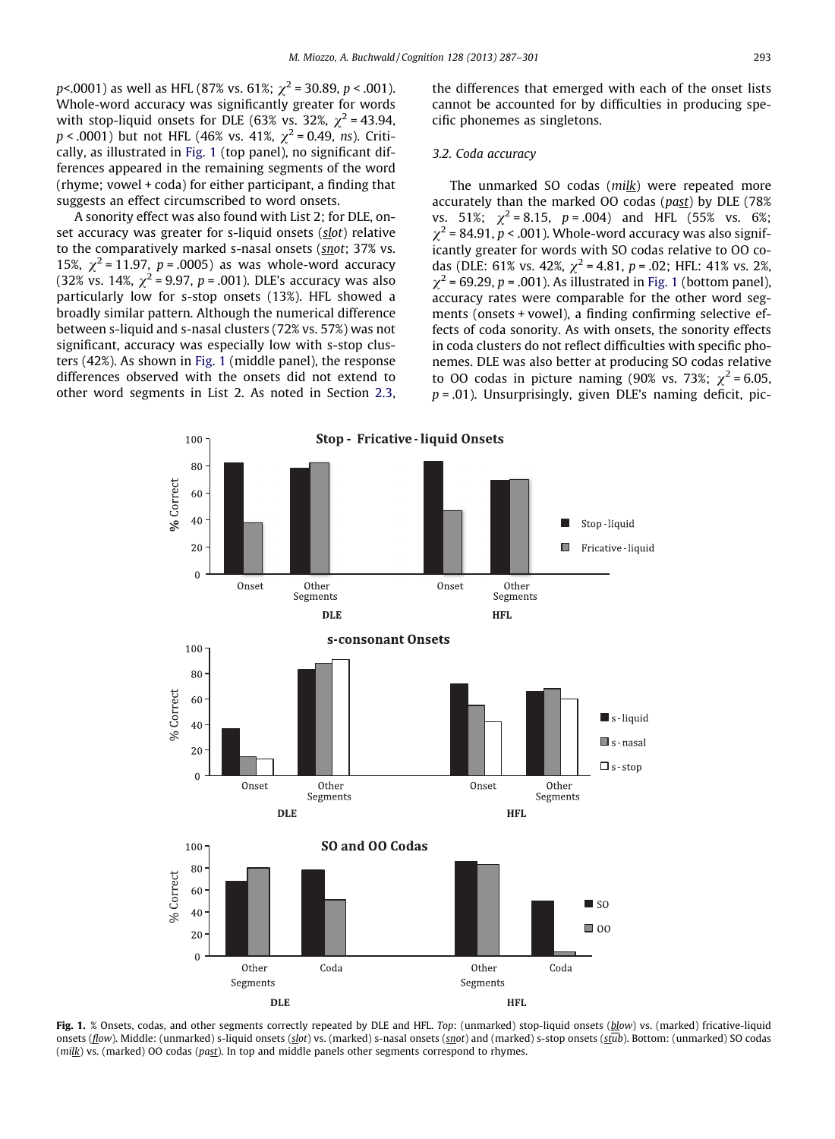$p$  <.0001) as well as HFL (87% vs. 61%;  $\chi^2$  = 30.89, p < .001). Whole-word accuracy was significantly greater for words with stop-liquid onsets for DLE (63% vs. 32%,  $\chi^2$  = 43.94,  $p < .0001$ ) but not HFL (46% vs. 41%,  $\chi^2 = 0.49$ , ns). Critically, as illustrated in Fig. 1 (top panel), no significant differences appeared in the remaining segments of the word (rhyme; vowel + coda) for either participant, a finding that suggests an effect circumscribed to word onsets.

A sonority effect was also found with List 2; for DLE, onset accuracy was greater for s-liquid onsets (slot) relative to the comparatively marked s-nasal onsets (snot; 37% vs. 15%,  $\chi^2$  = 11.97, p = .0005) as was whole-word accuracy (32% vs. 14%,  $\chi^2$  = 9.97, p = .001). DLE's accuracy was also particularly low for s-stop onsets (13%). HFL showed a broadly similar pattern. Although the numerical difference between s-liquid and s-nasal clusters (72% vs. 57%) was not significant, accuracy was especially low with s-stop clusters (42%). As shown in Fig. 1 (middle panel), the response differences observed with the onsets did not extend to other word segments in List 2. As noted in Section 2.3, the differences that emerged with each of the onset lists cannot be accounted for by difficulties in producing specific phonemes as singletons.

#### 3.2. Coda accuracy

The unmarked SO codas (milk) were repeated more accurately than the marked OO codas (past) by DLE (78% vs. 51%;  $\chi^2 = 8.15$ ,  $p = .004$ ) and HFL (55% vs. 6%;  $\chi^2$  = 84.91, p < .001). Whole-word accuracy was also significantly greater for words with SO codas relative to OO codas (DLE: 61% vs. 42%,  $\chi^2$  = 4.81, p = .02; HFL: 41% vs. 2%,  $\chi^2$  = 69.29, p = .001). As illustrated in Fig. 1 (bottom panel), accuracy rates were comparable for the other word segments (onsets + vowel), a finding confirming selective effects of coda sonority. As with onsets, the sonority effects in coda clusters do not reflect difficulties with specific phonemes. DLE was also better at producing SO codas relative to OO codas in picture naming (90% vs. 73%;  $\chi^2$  = 6.05,  $p = .01$ ). Unsurprisingly, given DLE's naming deficit, pic-



Fig. 1. % Onsets, codas, and other segments correctly repeated by DLE and HFL. Top: (unmarked) stop-liquid onsets (blow) vs. (marked) fricative-liquid onsets (flow). Middle: (unmarked) s-liquid onsets (slot) vs. (marked) s-nasal onsets (snot) and (marked) s-stop onsets (stub). Bottom: (unmarked) SO codas (milk) vs. (marked) OO codas (past). In top and middle panels other segments correspond to rhymes.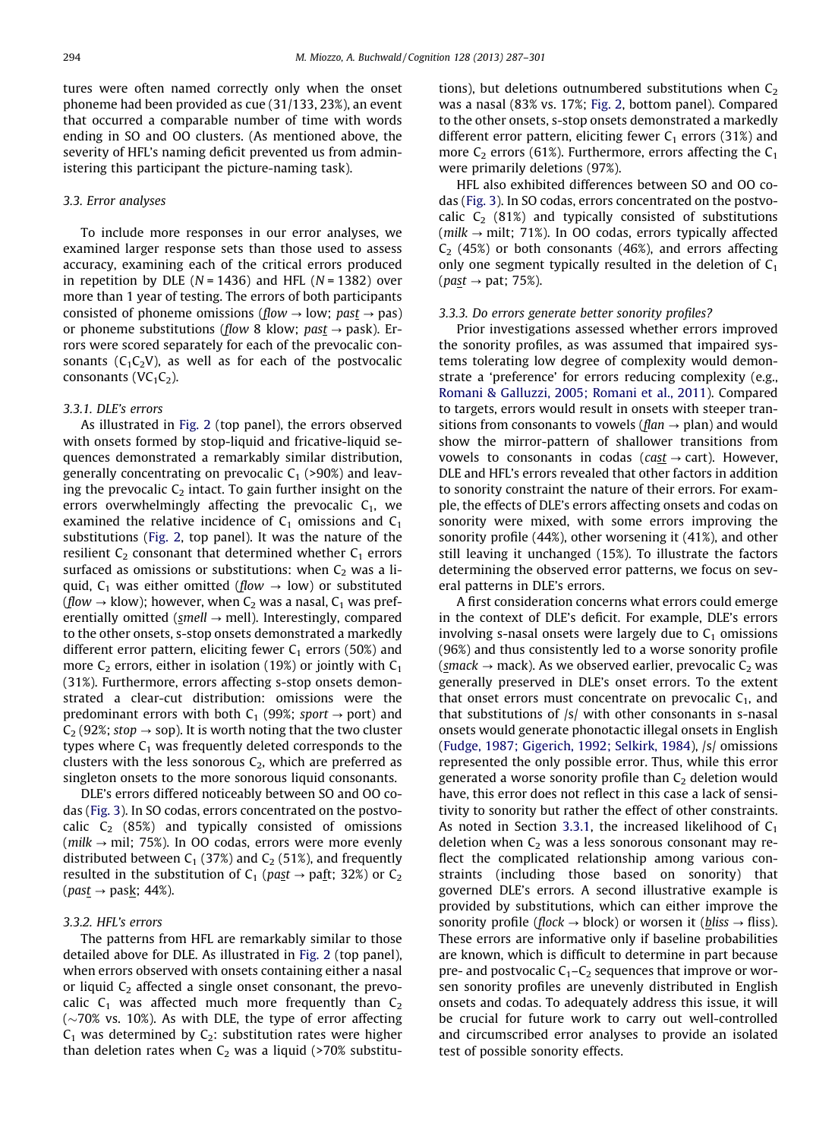tures were often named correctly only when the onset phoneme had been provided as cue (31/133, 23%), an event that occurred a comparable number of time with words ending in SO and OO clusters. (As mentioned above, the severity of HFL's naming deficit prevented us from administering this participant the picture-naming task).

#### 3.3. Error analyses

To include more responses in our error analyses, we examined larger response sets than those used to assess accuracy, examining each of the critical errors produced in repetition by DLE  $(N = 1436)$  and HFL  $(N = 1382)$  over more than 1 year of testing. The errors of both participants consisted of phoneme omissions (flow  $\rightarrow$  low; past  $\rightarrow$  pas) or phoneme substitutions (flow 8 klow;  $past \rightarrow pask$ ). Errors were scored separately for each of the prevocalic consonants ( $C_1C_2V$ ), as well as for each of the postvocalic consonants ( $VC_1C_2$ ).

#### 3.3.1. DLE's errors

As illustrated in [Fig. 2](#page-8-0) (top panel), the errors observed with onsets formed by stop-liquid and fricative-liquid sequences demonstrated a remarkably similar distribution, generally concentrating on prevocalic  $C_1$  (>90%) and leaving the prevocalic  $C_2$  intact. To gain further insight on the errors overwhelmingly affecting the prevocalic  $C_1$ , we examined the relative incidence of  $C_1$  omissions and  $C_1$ substitutions ([Fig. 2](#page-8-0), top panel). It was the nature of the resilient  $C_2$  consonant that determined whether  $C_1$  errors surfaced as omissions or substitutions: when  $C_2$  was a liquid, C<sub>1</sub> was either omitted (*flow*  $\rightarrow$  low) or substituted (flow  $\rightarrow$  klow); however, when C<sub>2</sub> was a nasal, C<sub>1</sub> was preferentially omitted ( $\leq$ mell  $\rightarrow$  mell). Interestingly, compared to the other onsets, s-stop onsets demonstrated a markedly different error pattern, eliciting fewer  $C_1$  errors (50%) and more  $C_2$  errors, either in isolation (19%) or jointly with  $C_1$ (31%). Furthermore, errors affecting s-stop onsets demonstrated a clear-cut distribution: omissions were the predominant errors with both  $C_1$  (99%; sport  $\rightarrow$  port) and  $C_2$  (92%; stop  $\rightarrow$  sop). It is worth noting that the two cluster types where  $C_1$  was frequently deleted corresponds to the clusters with the less sonorous  $C_2$ , which are preferred as singleton onsets to the more sonorous liquid consonants.

DLE's errors differed noticeably between SO and OO codas ([Fig. 3\)](#page-8-0). In SO codas, errors concentrated on the postvocalic  $C_2$  (85%) and typically consisted of omissions (milk  $\rightarrow$  mil; 75%). In OO codas, errors were more evenly distributed between  $C_1$  (37%) and  $C_2$  (51%), and frequently resulted in the substitution of  $C_1$  (past  $\rightarrow$  paft; 32%) or  $C_2$  $(pas{\underline{t}} \rightarrow pas{\underline{k}}; 44\%).$ 

#### 3.3.2. HFL's errors

The patterns from HFL are remarkably similar to those detailed above for DLE. As illustrated in [Fig. 2](#page-8-0) (top panel), when errors observed with onsets containing either a nasal or liquid  $C_2$  affected a single onset consonant, the prevocalic  $C_1$  was affected much more frequently than  $C_2$  $(\sim 70\%$  vs. 10%). As with DLE, the type of error affecting  $C_1$  was determined by  $C_2$ : substitution rates were higher than deletion rates when  $C_2$  was a liquid (>70% substitutions), but deletions outnumbered substitutions when  $C_2$ was a nasal (83% vs. 17%; [Fig. 2,](#page-8-0) bottom panel). Compared to the other onsets, s-stop onsets demonstrated a markedly different error pattern, eliciting fewer  $C_1$  errors (31%) and more  $C_2$  errors (61%). Furthermore, errors affecting the  $C_1$ were primarily deletions (97%).

HFL also exhibited differences between SO and OO codas [\(Fig. 3\)](#page-8-0). In SO codas, errors concentrated on the postvocalic  $C_2$  (81%) and typically consisted of substitutions ( $milk \rightarrow milt$ ; 71%). In OO codas, errors typically affected  $C_2$  (45%) or both consonants (46%), and errors affecting only one segment typically resulted in the deletion of  $C_1$  $(past \rightarrow pat; 75%).$ 

#### 3.3.3. Do errors generate better sonority profiles?

Prior investigations assessed whether errors improved the sonority profiles, as was assumed that impaired systems tolerating low degree of complexity would demonstrate a 'preference' for errors reducing complexity (e.g., [Romani & Galluzzi, 2005; Romani et al., 2011\)](#page-14-0). Compared to targets, errors would result in onsets with steeper transitions from consonants to vowels (flan  $\rightarrow$  plan) and would show the mirror-pattern of shallower transitions from vowels to consonants in codas (cast  $\rightarrow$  cart). However, DLE and HFL's errors revealed that other factors in addition to sonority constraint the nature of their errors. For example, the effects of DLE's errors affecting onsets and codas on sonority were mixed, with some errors improving the sonority profile (44%), other worsening it (41%), and other still leaving it unchanged (15%). To illustrate the factors determining the observed error patterns, we focus on several patterns in DLE's errors.

A first consideration concerns what errors could emerge in the context of DLE's deficit. For example, DLE's errors involving s-nasal onsets were largely due to  $C_1$  omissions (96%) and thus consistently led to a worse sonority profile  $\text{(} \underline{\text{smack}} \rightarrow \text{mack} \text{)}.$  As we observed earlier, prevocalic C<sub>2</sub> was generally preserved in DLE's onset errors. To the extent that onset errors must concentrate on prevocalic  $C_1$ , and that substitutions of /s/ with other consonants in s-nasal onsets would generate phonotactic illegal onsets in English [\(Fudge, 1987; Gigerich, 1992; Selkirk, 1984](#page-13-0)), /s/ omissions represented the only possible error. Thus, while this error generated a worse sonority profile than  $C<sub>2</sub>$  deletion would have, this error does not reflect in this case a lack of sensitivity to sonority but rather the effect of other constraints. As noted in Section 3.3.1, the increased likelihood of  $C_1$ deletion when  $C_2$  was a less sonorous consonant may reflect the complicated relationship among various constraints (including those based on sonority) that governed DLE's errors. A second illustrative example is provided by substitutions, which can either improve the sonority profile (flock  $\rightarrow$  block) or worsen it (bliss  $\rightarrow$  fliss). These errors are informative only if baseline probabilities are known, which is difficult to determine in part because pre- and postvocalic  $C_1 - C_2$  sequences that improve or worsen sonority profiles are unevenly distributed in English onsets and codas. To adequately address this issue, it will be crucial for future work to carry out well-controlled and circumscribed error analyses to provide an isolated test of possible sonority effects.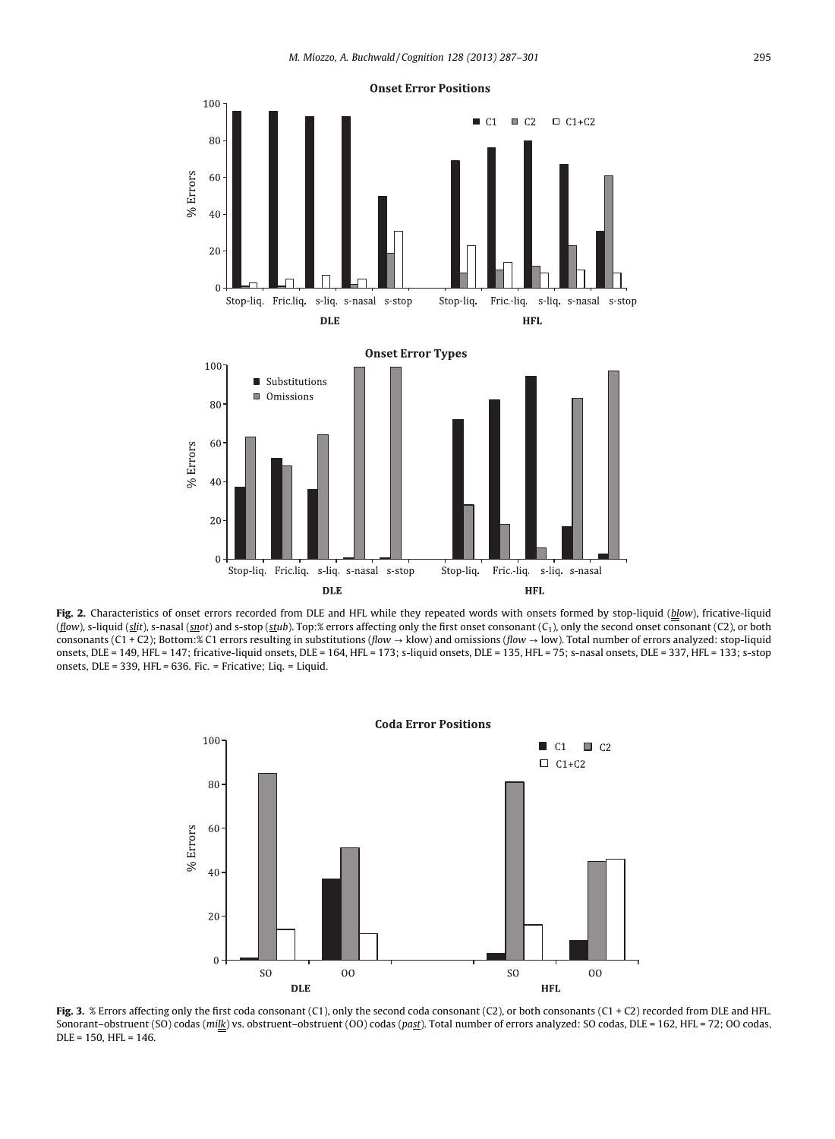<span id="page-8-0"></span>

Fig. 2. Characteristics of onset errors recorded from DLE and HFL while they repeated words with onsets formed by stop-liquid (blow), fricative-liquid (flow), s-liquid ( $g$ it), s-nasal (snot) and s-stop ( $g$ tub). Top:% errors affecting only the first onset consonant (C<sub>1</sub>), only the second onset consonant (C2), or both consonants (C1 + C2); Bottom:% C1 errors resulting in substitutions (flow  $\rightarrow$  klow) and omissions (flow  $\rightarrow$  low). Total number of errors analyzed: stop-liquid onsets, DLE = 149, HFL = 147; fricative-liquid onsets, DLE = 164, HFL = 173; s-liquid onsets, DLE = 135, HFL = 75; s-nasal onsets, DLE = 337, HFL = 133; s-stop onsets, DLE = 339, HFL = 636. Fic. = Fricative; Liq. = Liquid.



Fig. 3. % Errors affecting only the first coda consonant (C1), only the second coda consonant (C2), or both consonants (C1 + C2) recorded from DLE and HFL. Sonorant–obstruent (SO) codas (milk) vs. obstruent–obstruent (OO) codas (past). Total number of errors analyzed: SO codas, DLE = 162, HFL = 72; OO codas, DLE = 150, HFL = 146.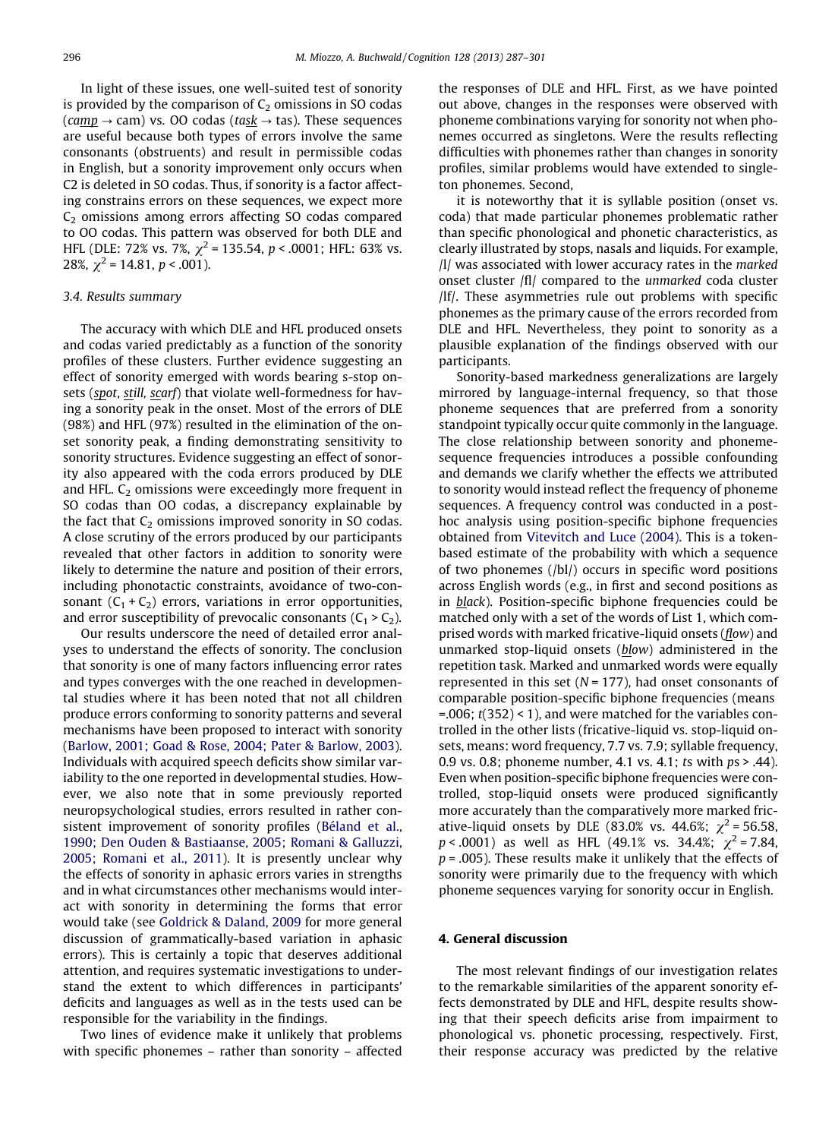In light of these issues, one well-suited test of sonority is provided by the comparison of  $C_2$  omissions in SO codas (camp  $\rightarrow$  cam) vs. OO codas (task  $\rightarrow$  tas). These sequences are useful because both types of errors involve the same consonants (obstruents) and result in permissible codas in English, but a sonority improvement only occurs when C2 is deleted in SO codas. Thus, if sonority is a factor affecting constrains errors on these sequences, we expect more  $C<sub>2</sub>$  omissions among errors affecting SO codas compared to OO codas. This pattern was observed for both DLE and HFL (DLE: 72% vs. 7%,  $\chi^2$  = 135.54, p < .0001; HFL: 63% vs. 28%,  $\chi^2$  = 14.81, p < .001).

#### 3.4. Results summary

The accuracy with which DLE and HFL produced onsets and codas varied predictably as a function of the sonority profiles of these clusters. Further evidence suggesting an effect of sonority emerged with words bearing s-stop onsets (spot, still, scarf) that violate well-formedness for having a sonority peak in the onset. Most of the errors of DLE (98%) and HFL (97%) resulted in the elimination of the onset sonority peak, a finding demonstrating sensitivity to sonority structures. Evidence suggesting an effect of sonority also appeared with the coda errors produced by DLE and HFL.  $C_2$  omissions were exceedingly more frequent in SO codas than OO codas, a discrepancy explainable by the fact that  $C_2$  omissions improved sonority in SO codas. A close scrutiny of the errors produced by our participants revealed that other factors in addition to sonority were likely to determine the nature and position of their errors, including phonotactic constraints, avoidance of two-consonant  $(C_1 + C_2)$  errors, variations in error opportunities, and error susceptibility of prevocalic consonants  $(C_1 > C_2)$ .

Our results underscore the need of detailed error analyses to understand the effects of sonority. The conclusion that sonority is one of many factors influencing error rates and types converges with the one reached in developmental studies where it has been noted that not all children produce errors conforming to sonority patterns and several mechanisms have been proposed to interact with sonority [\(Barlow, 2001; Goad & Rose, 2004; Pater & Barlow, 2003](#page-12-0)). Individuals with acquired speech deficits show similar variability to the one reported in developmental studies. However, we also note that in some previously reported neuropsychological studies, errors resulted in rather consistent improvement of sonority profiles ([Béland et al.,](#page-12-0) [1990; Den Ouden & Bastiaanse, 2005; Romani & Galluzzi,](#page-12-0) [2005; Romani et al., 2011](#page-12-0)). It is presently unclear why the effects of sonority in aphasic errors varies in strengths and in what circumstances other mechanisms would interact with sonority in determining the forms that error would take (see [Goldrick & Daland, 2009](#page-13-0) for more general discussion of grammatically-based variation in aphasic errors). This is certainly a topic that deserves additional attention, and requires systematic investigations to understand the extent to which differences in participants' deficits and languages as well as in the tests used can be responsible for the variability in the findings.

Two lines of evidence make it unlikely that problems with specific phonemes – rather than sonority – affected

the responses of DLE and HFL. First, as we have pointed out above, changes in the responses were observed with phoneme combinations varying for sonority not when phonemes occurred as singletons. Were the results reflecting difficulties with phonemes rather than changes in sonority profiles, similar problems would have extended to singleton phonemes. Second,

it is noteworthy that it is syllable position (onset vs. coda) that made particular phonemes problematic rather than specific phonological and phonetic characteristics, as clearly illustrated by stops, nasals and liquids. For example, /l/ was associated with lower accuracy rates in the marked onset cluster /fl/ compared to the unmarked coda cluster /lf/. These asymmetries rule out problems with specific phonemes as the primary cause of the errors recorded from DLE and HFL. Nevertheless, they point to sonority as a plausible explanation of the findings observed with our participants.

Sonority-based markedness generalizations are largely mirrored by language-internal frequency, so that those phoneme sequences that are preferred from a sonority standpoint typically occur quite commonly in the language. The close relationship between sonority and phonemesequence frequencies introduces a possible confounding and demands we clarify whether the effects we attributed to sonority would instead reflect the frequency of phoneme sequences. A frequency control was conducted in a posthoc analysis using position-specific biphone frequencies obtained from [Vitevitch and Luce \(2004\).](#page-14-0) This is a tokenbased estimate of the probability with which a sequence of two phonemes (/bl/) occurs in specific word positions across English words (e.g., in first and second positions as in **black**). Position-specific biphone frequencies could be matched only with a set of the words of List 1, which comprised words with marked fricative-liquid onsets (flow) and unmarked stop-liquid onsets  $(\underline{blow})$  administered in the repetition task. Marked and unmarked words were equally represented in this set ( $N = 177$ ), had onset consonants of comparable position-specific biphone frequencies (means  $=0.006$ ;  $t(352)$  < 1), and were matched for the variables controlled in the other lists (fricative-liquid vs. stop-liquid onsets, means: word frequency, 7.7 vs. 7.9; syllable frequency, 0.9 vs. 0.8; phoneme number, 4.1 vs. 4.1; ts with ps > .44). Even when position-specific biphone frequencies were controlled, stop-liquid onsets were produced significantly more accurately than the comparatively more marked fricative-liquid onsets by DLE (83.0% vs. 44.6%;  $\chi^2$  = 56.58,  $p < .0001$ ) as well as HFL (49.1% vs. 34.4%;  $\chi^2 = 7.84$ ,  $p = .005$ ). These results make it unlikely that the effects of sonority were primarily due to the frequency with which phoneme sequences varying for sonority occur in English.

#### 4. General discussion

The most relevant findings of our investigation relates to the remarkable similarities of the apparent sonority effects demonstrated by DLE and HFL, despite results showing that their speech deficits arise from impairment to phonological vs. phonetic processing, respectively. First, their response accuracy was predicted by the relative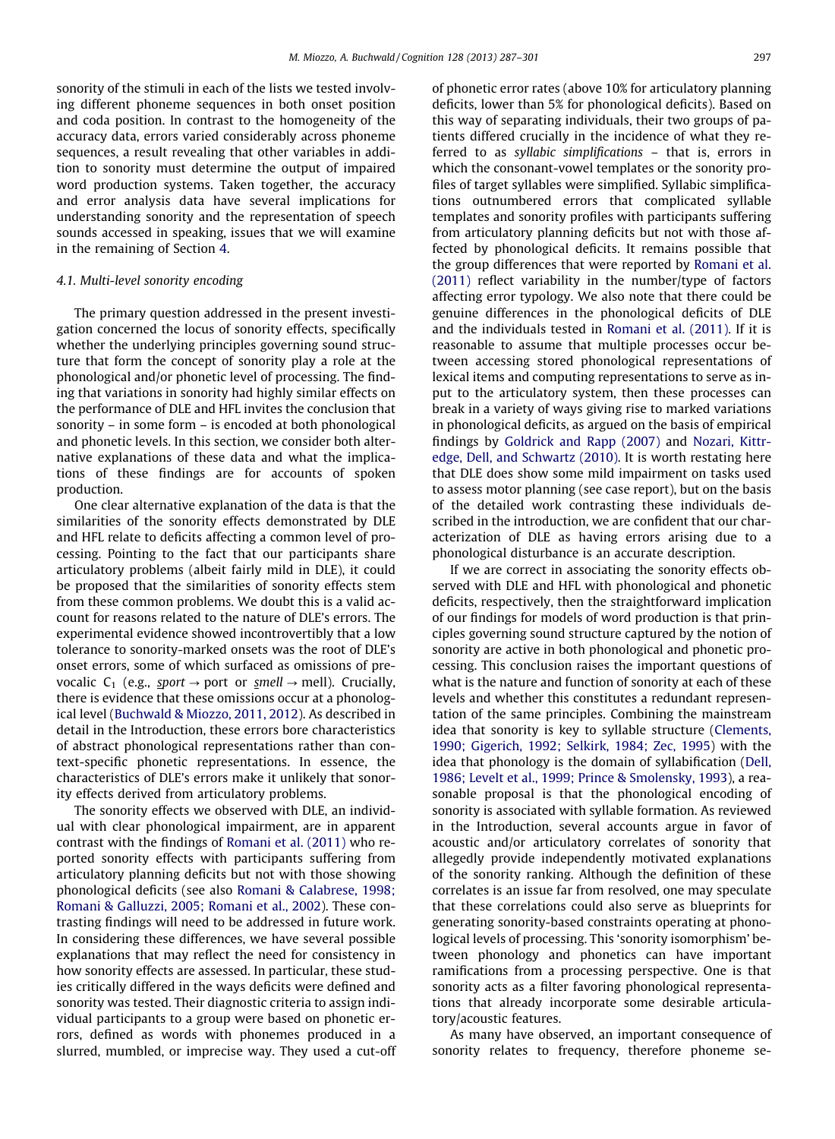sonority of the stimuli in each of the lists we tested involving different phoneme sequences in both onset position and coda position. In contrast to the homogeneity of the accuracy data, errors varied considerably across phoneme sequences, a result revealing that other variables in addition to sonority must determine the output of impaired word production systems. Taken together, the accuracy and error analysis data have several implications for understanding sonority and the representation of speech sounds accessed in speaking, issues that we will examine in the remaining of Section 4.

#### 4.1. Multi-level sonority encoding

The primary question addressed in the present investigation concerned the locus of sonority effects, specifically whether the underlying principles governing sound structure that form the concept of sonority play a role at the phonological and/or phonetic level of processing. The finding that variations in sonority had highly similar effects on the performance of DLE and HFL invites the conclusion that sonority – in some form – is encoded at both phonological and phonetic levels. In this section, we consider both alternative explanations of these data and what the implications of these findings are for accounts of spoken production.

One clear alternative explanation of the data is that the similarities of the sonority effects demonstrated by DLE and HFL relate to deficits affecting a common level of processing. Pointing to the fact that our participants share articulatory problems (albeit fairly mild in DLE), it could be proposed that the similarities of sonority effects stem from these common problems. We doubt this is a valid account for reasons related to the nature of DLE's errors. The experimental evidence showed incontrovertibly that a low tolerance to sonority-marked onsets was the root of DLE's onset errors, some of which surfaced as omissions of prevocalic C<sub>1</sub> (e.g., *sport*  $\rightarrow$  port or *smell*  $\rightarrow$  mell). Crucially, there is evidence that these omissions occur at a phonological level ([Buchwald & Miozzo, 2011, 2012\)](#page-12-0). As described in detail in the Introduction, these errors bore characteristics of abstract phonological representations rather than context-specific phonetic representations. In essence, the characteristics of DLE's errors make it unlikely that sonority effects derived from articulatory problems.

The sonority effects we observed with DLE, an individual with clear phonological impairment, are in apparent contrast with the findings of [Romani et al. \(2011\)](#page-14-0) who reported sonority effects with participants suffering from articulatory planning deficits but not with those showing phonological deficits (see also [Romani & Calabrese, 1998;](#page-14-0) [Romani & Galluzzi, 2005; Romani et al., 2002](#page-14-0)). These contrasting findings will need to be addressed in future work. In considering these differences, we have several possible explanations that may reflect the need for consistency in how sonority effects are assessed. In particular, these studies critically differed in the ways deficits were defined and sonority was tested. Their diagnostic criteria to assign individual participants to a group were based on phonetic errors, defined as words with phonemes produced in a slurred, mumbled, or imprecise way. They used a cut-off of phonetic error rates (above 10% for articulatory planning deficits, lower than 5% for phonological deficits). Based on this way of separating individuals, their two groups of patients differed crucially in the incidence of what they referred to as syllabic simplifications – that is, errors in which the consonant-vowel templates or the sonority profiles of target syllables were simplified. Syllabic simplifications outnumbered errors that complicated syllable templates and sonority profiles with participants suffering from articulatory planning deficits but not with those affected by phonological deficits. It remains possible that the group differences that were reported by [Romani et al.](#page-14-0) [\(2011\)](#page-14-0) reflect variability in the number/type of factors affecting error typology. We also note that there could be genuine differences in the phonological deficits of DLE and the individuals tested in [Romani et al. \(2011\).](#page-14-0) If it is reasonable to assume that multiple processes occur between accessing stored phonological representations of lexical items and computing representations to serve as input to the articulatory system, then these processes can break in a variety of ways giving rise to marked variations in phonological deficits, as argued on the basis of empirical findings by [Goldrick and Rapp \(2007\)](#page-13-0) and [Nozari, Kittr](#page-13-0)[edge, Dell, and Schwartz \(2010\).](#page-13-0) It is worth restating here that DLE does show some mild impairment on tasks used to assess motor planning (see case report), but on the basis of the detailed work contrasting these individuals described in the introduction, we are confident that our characterization of DLE as having errors arising due to a phonological disturbance is an accurate description.

If we are correct in associating the sonority effects observed with DLE and HFL with phonological and phonetic deficits, respectively, then the straightforward implication of our findings for models of word production is that principles governing sound structure captured by the notion of sonority are active in both phonological and phonetic processing. This conclusion raises the important questions of what is the nature and function of sonority at each of these levels and whether this constitutes a redundant representation of the same principles. Combining the mainstream idea that sonority is key to syllable structure [\(Clements,](#page-13-0) [1990; Gigerich, 1992; Selkirk, 1984; Zec, 1995](#page-13-0)) with the idea that phonology is the domain of syllabification [\(Dell,](#page-13-0) [1986; Levelt et al., 1999; Prince & Smolensky, 1993\)](#page-13-0), a reasonable proposal is that the phonological encoding of sonority is associated with syllable formation. As reviewed in the Introduction, several accounts argue in favor of acoustic and/or articulatory correlates of sonority that allegedly provide independently motivated explanations of the sonority ranking. Although the definition of these correlates is an issue far from resolved, one may speculate that these correlations could also serve as blueprints for generating sonority-based constraints operating at phonological levels of processing. This 'sonority isomorphism' between phonology and phonetics can have important ramifications from a processing perspective. One is that sonority acts as a filter favoring phonological representations that already incorporate some desirable articulatory/acoustic features.

As many have observed, an important consequence of sonority relates to frequency, therefore phoneme se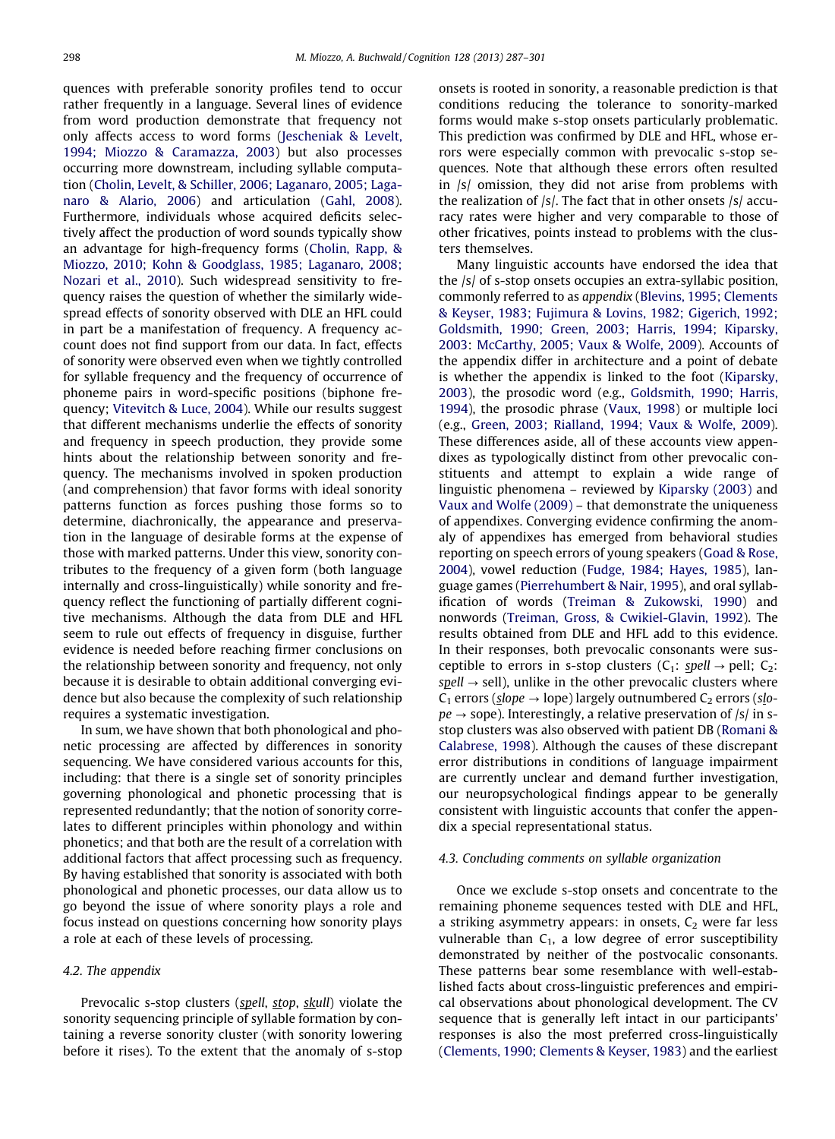quences with preferable sonority profiles tend to occur rather frequently in a language. Several lines of evidence from word production demonstrate that frequency not only affects access to word forms ([Jescheniak & Levelt,](#page-13-0) [1994; Miozzo & Caramazza, 2003](#page-13-0)) but also processes occurring more downstream, including syllable computation [\(Cholin, Levelt, & Schiller, 2006; Laganaro, 2005; Laga](#page-13-0)[naro & Alario, 2006\)](#page-13-0) and articulation [\(Gahl, 2008](#page-13-0)). Furthermore, individuals whose acquired deficits selectively affect the production of word sounds typically show an advantage for high-frequency forms ([Cholin, Rapp, &](#page-13-0) [Miozzo, 2010; Kohn & Goodglass, 1985; Laganaro, 2008;](#page-13-0) [Nozari et al., 2010\)](#page-13-0). Such widespread sensitivity to frequency raises the question of whether the similarly widespread effects of sonority observed with DLE an HFL could in part be a manifestation of frequency. A frequency account does not find support from our data. In fact, effects of sonority were observed even when we tightly controlled for syllable frequency and the frequency of occurrence of phoneme pairs in word-specific positions (biphone frequency; [Vitevitch & Luce, 2004\)](#page-14-0). While our results suggest that different mechanisms underlie the effects of sonority and frequency in speech production, they provide some hints about the relationship between sonority and frequency. The mechanisms involved in spoken production (and comprehension) that favor forms with ideal sonority patterns function as forces pushing those forms so to determine, diachronically, the appearance and preservation in the language of desirable forms at the expense of those with marked patterns. Under this view, sonority contributes to the frequency of a given form (both language internally and cross-linguistically) while sonority and frequency reflect the functioning of partially different cognitive mechanisms. Although the data from DLE and HFL seem to rule out effects of frequency in disguise, further evidence is needed before reaching firmer conclusions on the relationship between sonority and frequency, not only because it is desirable to obtain additional converging evidence but also because the complexity of such relationship requires a systematic investigation.

In sum, we have shown that both phonological and phonetic processing are affected by differences in sonority sequencing. We have considered various accounts for this, including: that there is a single set of sonority principles governing phonological and phonetic processing that is represented redundantly; that the notion of sonority correlates to different principles within phonology and within phonetics; and that both are the result of a correlation with additional factors that affect processing such as frequency. By having established that sonority is associated with both phonological and phonetic processes, our data allow us to go beyond the issue of where sonority plays a role and focus instead on questions concerning how sonority plays a role at each of these levels of processing.

#### 4.2. The appendix

Prevocalic s-stop clusters (spell, stop, skull) violate the sonority sequencing principle of syllable formation by containing a reverse sonority cluster (with sonority lowering before it rises). To the extent that the anomaly of s-stop

onsets is rooted in sonority, a reasonable prediction is that conditions reducing the tolerance to sonority-marked forms would make s-stop onsets particularly problematic. This prediction was confirmed by DLE and HFL, whose errors were especially common with prevocalic s-stop sequences. Note that although these errors often resulted in /s/ omission, they did not arise from problems with the realization of /s/. The fact that in other onsets /s/ accuracy rates were higher and very comparable to those of other fricatives, points instead to problems with the clusters themselves.

Many linguistic accounts have endorsed the idea that the /s/ of s-stop onsets occupies an extra-syllabic position, commonly referred to as appendix ([Blevins, 1995; Clements](#page-12-0) [& Keyser, 1983; Fujimura & Lovins, 1982; Gigerich, 1992;](#page-12-0) [Goldsmith, 1990; Green, 2003; Harris, 1994; Kiparsky,](#page-12-0) [2003](#page-12-0): [McCarthy, 2005; Vaux & Wolfe, 2009\)](#page-13-0). Accounts of the appendix differ in architecture and a point of debate is whether the appendix is linked to the foot ([Kiparsky,](#page-13-0) [2003](#page-13-0)), the prosodic word (e.g., [Goldsmith, 1990; Harris,](#page-13-0) [1994](#page-13-0)), the prosodic phrase ([Vaux, 1998\)](#page-14-0) or multiple loci (e.g., [Green, 2003; Rialland, 1994; Vaux & Wolfe, 2009](#page-13-0)). These differences aside, all of these accounts view appendixes as typologically distinct from other prevocalic constituents and attempt to explain a wide range of linguistic phenomena – reviewed by [Kiparsky \(2003\)](#page-13-0) and [Vaux and Wolfe \(2009\)](#page-14-0) – that demonstrate the uniqueness of appendixes. Converging evidence confirming the anomaly of appendixes has emerged from behavioral studies reporting on speech errors of young speakers [\(Goad & Rose,](#page-13-0) [2004](#page-13-0)), vowel reduction ([Fudge, 1984; Hayes, 1985\)](#page-13-0), language games [\(Pierrehumbert & Nair, 1995\)](#page-13-0), and oral syllabification of words [\(Treiman & Zukowski, 1990\)](#page-14-0) and nonwords ([Treiman, Gross, & Cwikiel-Glavin, 1992\)](#page-14-0). The results obtained from DLE and HFL add to this evidence. In their responses, both prevocalic consonants were susceptible to errors in s-stop clusters ( $C_1$ : spell  $\rightarrow$  pell;  $C_2$ : spell  $\rightarrow$  sell), unlike in the other prevocalic clusters where  $C_1$  errors (slope  $\rightarrow$  lope) largely outnumbered  $C_2$  errors (slo $pe \rightarrow$  sope). Interestingly, a relative preservation of  $/s/$  in sstop clusters was also observed with patient DB ([Romani &](#page-14-0) [Calabrese, 1998](#page-14-0)). Although the causes of these discrepant error distributions in conditions of language impairment are currently unclear and demand further investigation, our neuropsychological findings appear to be generally consistent with linguistic accounts that confer the appendix a special representational status.

#### 4.3. Concluding comments on syllable organization

Once we exclude s-stop onsets and concentrate to the remaining phoneme sequences tested with DLE and HFL, a striking asymmetry appears: in onsets,  $C_2$  were far less vulnerable than  $C_1$ , a low degree of error susceptibility demonstrated by neither of the postvocalic consonants. These patterns bear some resemblance with well-established facts about cross-linguistic preferences and empirical observations about phonological development. The CV sequence that is generally left intact in our participants' responses is also the most preferred cross-linguistically [\(Clements, 1990; Clements & Keyser, 1983\)](#page-13-0) and the earliest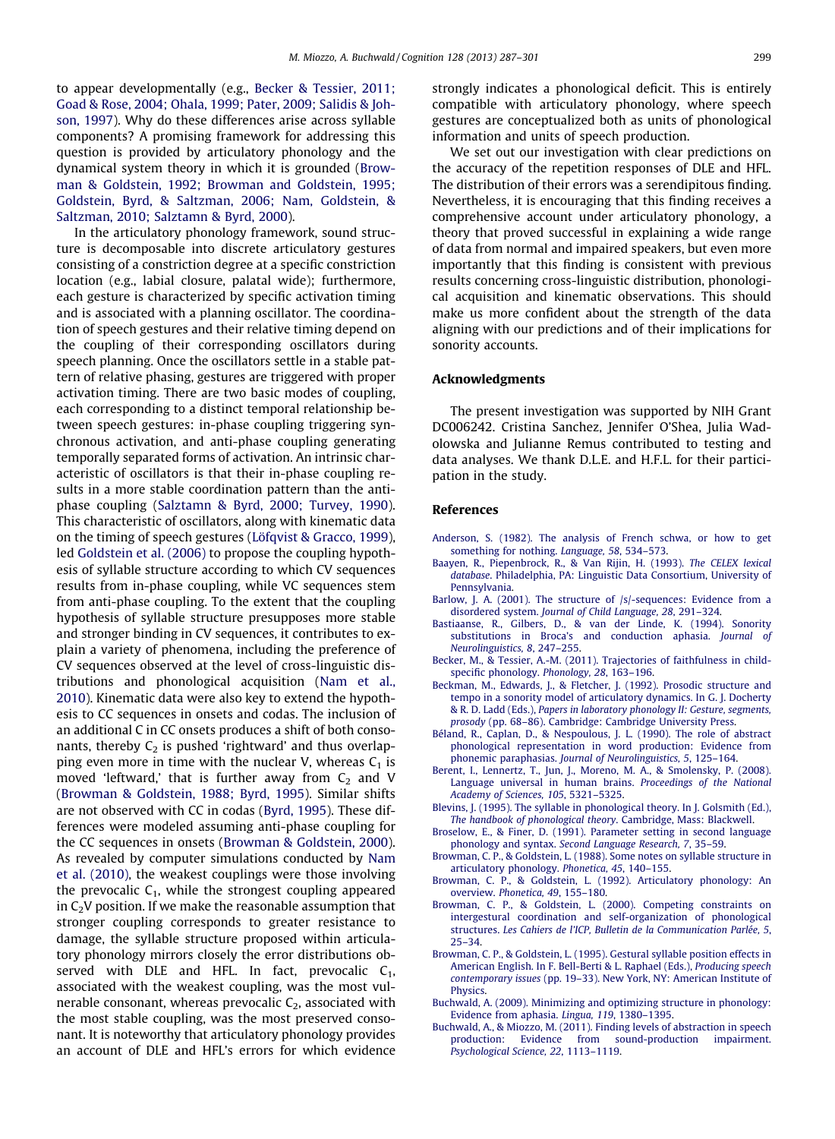<span id="page-12-0"></span>to appear developmentally (e.g., Becker & Tessier, 2011; Goad & Rose, 2004; Ohala, 1999; Pater, 2009; Salidis & Johson, 1997). Why do these differences arise across syllable components? A promising framework for addressing this question is provided by articulatory phonology and the dynamical system theory in which it is grounded (Browman & Goldstein, 1992; Browman and Goldstein, 1995; Goldstein, Byrd, & Saltzman, 2006; Nam, Goldstein, & Saltzman, 2010; Salztamn & Byrd, 2000).

In the articulatory phonology framework, sound structure is decomposable into discrete articulatory gestures consisting of a constriction degree at a specific constriction location (e.g., labial closure, palatal wide); furthermore, each gesture is characterized by specific activation timing and is associated with a planning oscillator. The coordination of speech gestures and their relative timing depend on the coupling of their corresponding oscillators during speech planning. Once the oscillators settle in a stable pattern of relative phasing, gestures are triggered with proper activation timing. There are two basic modes of coupling, each corresponding to a distinct temporal relationship between speech gestures: in-phase coupling triggering synchronous activation, and anti-phase coupling generating temporally separated forms of activation. An intrinsic characteristic of oscillators is that their in-phase coupling results in a more stable coordination pattern than the antiphase coupling [\(Salztamn & Byrd, 2000; Turvey, 1990](#page-14-0)). This characteristic of oscillators, along with kinematic data on the timing of speech gestures [\(Löfqvist & Gracco, 1999](#page-13-0)), led [Goldstein et al. \(2006\)](#page-13-0) to propose the coupling hypothesis of syllable structure according to which CV sequences results from in-phase coupling, while VC sequences stem from anti-phase coupling. To the extent that the coupling hypothesis of syllable structure presupposes more stable and stronger binding in CV sequences, it contributes to explain a variety of phenomena, including the preference of CV sequences observed at the level of cross-linguistic distributions and phonological acquisition ([Nam et al.,](#page-13-0) [2010\)](#page-13-0). Kinematic data were also key to extend the hypothesis to CC sequences in onsets and codas. The inclusion of an additional C in CC onsets produces a shift of both consonants, thereby  $C_2$  is pushed 'rightward' and thus overlapping even more in time with the nuclear V, whereas  $C_1$  is moved 'leftward,' that is further away from  $C_2$  and V (Browman & Goldstein, 1988; Byrd, 1995). Similar shifts are not observed with CC in codas ([Byrd, 1995\)](#page-13-0). These differences were modeled assuming anti-phase coupling for the CC sequences in onsets (Browman & Goldstein, 2000). As revealed by computer simulations conducted by [Nam](#page-13-0) [et al. \(2010\),](#page-13-0) the weakest couplings were those involving the prevocalic  $C_1$ , while the strongest coupling appeared in  $C_2V$  position. If we make the reasonable assumption that stronger coupling corresponds to greater resistance to damage, the syllable structure proposed within articulatory phonology mirrors closely the error distributions observed with DLE and HFL. In fact, prevocalic  $C_1$ , associated with the weakest coupling, was the most vulnerable consonant, whereas prevocalic  $C_2$ , associated with the most stable coupling, was the most preserved consonant. It is noteworthy that articulatory phonology provides an account of DLE and HFL's errors for which evidence strongly indicates a phonological deficit. This is entirely compatible with articulatory phonology, where speech gestures are conceptualized both as units of phonological information and units of speech production.

We set out our investigation with clear predictions on the accuracy of the repetition responses of DLE and HFL. The distribution of their errors was a serendipitous finding. Nevertheless, it is encouraging that this finding receives a comprehensive account under articulatory phonology, a theory that proved successful in explaining a wide range of data from normal and impaired speakers, but even more importantly that this finding is consistent with previous results concerning cross-linguistic distribution, phonological acquisition and kinematic observations. This should make us more confident about the strength of the data aligning with our predictions and of their implications for sonority accounts.

#### Acknowledgments

The present investigation was supported by NIH Grant DC006242. Cristina Sanchez, Jennifer O'Shea, Julia Wadolowska and Julianne Remus contributed to testing and data analyses. We thank D.L.E. and H.F.L. for their participation in the study.

#### References

- [Anderson, S. \(1982\). The analysis of French schwa, or how to get](http://refhub.elsevier.com/S0010-0277(13)00081-4/h0005) [something for nothing.](http://refhub.elsevier.com/S0010-0277(13)00081-4/h0005) Language, 58, 534–573.
- [Baayen, R., Piepenbrock, R., & Van Rijin, H. \(1993\).](http://refhub.elsevier.com/S0010-0277(13)00081-4/h0010) The CELEX lexical database[. Philadelphia, PA: Linguistic Data Consortium, University of](http://refhub.elsevier.com/S0010-0277(13)00081-4/h0010) [Pennsylvania.](http://refhub.elsevier.com/S0010-0277(13)00081-4/h0010)
- [Barlow, J. A. \(2001\). The structure of /s/-sequences: Evidence from a](http://refhub.elsevier.com/S0010-0277(13)00081-4/h0015) disordered system. [Journal of Child Language, 28](http://refhub.elsevier.com/S0010-0277(13)00081-4/h0015), 291–324.
- [Bastiaanse, R., Gilbers, D., & van der Linde, K. \(1994\). Sonority](http://refhub.elsevier.com/S0010-0277(13)00081-4/h0020) [substitutions in Broca's and conduction aphasia.](http://refhub.elsevier.com/S0010-0277(13)00081-4/h0020) Journal of [Neurolinguistics, 8](http://refhub.elsevier.com/S0010-0277(13)00081-4/h0020), 247–255.
- [Becker, M., & Tessier, A.-M. \(2011\). Trajectories of faithfulness in child](http://refhub.elsevier.com/S0010-0277(13)00081-4/h0025)[specific phonology.](http://refhub.elsevier.com/S0010-0277(13)00081-4/h0025) Phonology, 28, 163–196.
- [Beckman, M., Edwards, J., & Fletcher, J. \(1992\). Prosodic structure and](http://refhub.elsevier.com/S0010-0277(13)00081-4/h0030) [tempo in a sonority model of articulatory dynamics. In G. J. Docherty](http://refhub.elsevier.com/S0010-0277(13)00081-4/h0030) & R. D. Ladd (Eds.), [Papers in laboratory phonology II: Gesture, segments,](http://refhub.elsevier.com/S0010-0277(13)00081-4/h0030) prosody [\(pp. 68–86\). Cambridge: Cambridge University Press.](http://refhub.elsevier.com/S0010-0277(13)00081-4/h0030)
- [Béland, R., Caplan, D., & Nespoulous, J. L. \(1990\). The role of abstract](http://refhub.elsevier.com/S0010-0277(13)00081-4/h0035) [phonological representation in word production: Evidence from](http://refhub.elsevier.com/S0010-0277(13)00081-4/h0035) phonemic paraphasias. [Journal of Neurolinguistics, 5](http://refhub.elsevier.com/S0010-0277(13)00081-4/h0035), 125–164.
- [Berent, I., Lennertz, T., Jun, J., Moreno, M. A., & Smolensky, P. \(2008\).](http://refhub.elsevier.com/S0010-0277(13)00081-4/h0040) [Language universal in human brains.](http://refhub.elsevier.com/S0010-0277(13)00081-4/h0040) Proceedings of the National [Academy of Sciences, 105](http://refhub.elsevier.com/S0010-0277(13)00081-4/h0040), 5321–5325.
- [Blevins, J. \(1995\). The syllable in phonological theory. In J. Golsmith \(Ed.\),](http://refhub.elsevier.com/S0010-0277(13)00081-4/h0045) [The handbook of phonological theory](http://refhub.elsevier.com/S0010-0277(13)00081-4/h0045). Cambridge, Mass: Blackwell.
- [Broselow, E., & Finer, D. \(1991\). Parameter setting in second language](http://refhub.elsevier.com/S0010-0277(13)00081-4/h0050) phonology and syntax. [Second Language Research, 7](http://refhub.elsevier.com/S0010-0277(13)00081-4/h0050), 35–59.
- [Browman, C. P., & Goldstein, L. \(1988\). Some notes on syllable structure in](http://refhub.elsevier.com/S0010-0277(13)00081-4/h0055) [articulatory phonology.](http://refhub.elsevier.com/S0010-0277(13)00081-4/h0055) Phonetica, 45, 140–155.
- [Browman, C. P., & Goldstein, L. \(1992\). Articulatory phonology: An](http://refhub.elsevier.com/S0010-0277(13)00081-4/h0060) overview. [Phonetica, 49](http://refhub.elsevier.com/S0010-0277(13)00081-4/h0060), 155–180.
- [Browman, C. P., & Goldstein, L. \(2000\). Competing constraints on](http://refhub.elsevier.com/S0010-0277(13)00081-4/h0070) [intergestural coordination and self-organization of phonological](http://refhub.elsevier.com/S0010-0277(13)00081-4/h0070) structures. [Les Cahiers de l'ICP, Bulletin de la Communication Parlée, 5](http://refhub.elsevier.com/S0010-0277(13)00081-4/h0070), [25–34](http://refhub.elsevier.com/S0010-0277(13)00081-4/h0070).
- [Browman, C. P., & Goldstein, L. \(1995\). Gestural syllable position effects in](http://refhub.elsevier.com/S0010-0277(13)00081-4/h0065) [American English. In F. Bell-Berti & L. Raphael \(Eds.\),](http://refhub.elsevier.com/S0010-0277(13)00081-4/h0065) Producing speech contemporary issues [\(pp. 19–33\). New York, NY: American Institute of](http://refhub.elsevier.com/S0010-0277(13)00081-4/h0065) [Physics](http://refhub.elsevier.com/S0010-0277(13)00081-4/h0065).
- [Buchwald, A. \(2009\). Minimizing and optimizing structure in phonology:](http://refhub.elsevier.com/S0010-0277(13)00081-4/h0075) [Evidence from aphasia.](http://refhub.elsevier.com/S0010-0277(13)00081-4/h0075) Lingua, 119, 1380–1395.
- [Buchwald, A., & Miozzo, M. \(2011\). Finding levels of abstraction in speech](http://refhub.elsevier.com/S0010-0277(13)00081-4/h0080) [production: Evidence from sound-production impairment.](http://refhub.elsevier.com/S0010-0277(13)00081-4/h0080) [Psychological Science, 22](http://refhub.elsevier.com/S0010-0277(13)00081-4/h0080), 1113–1119.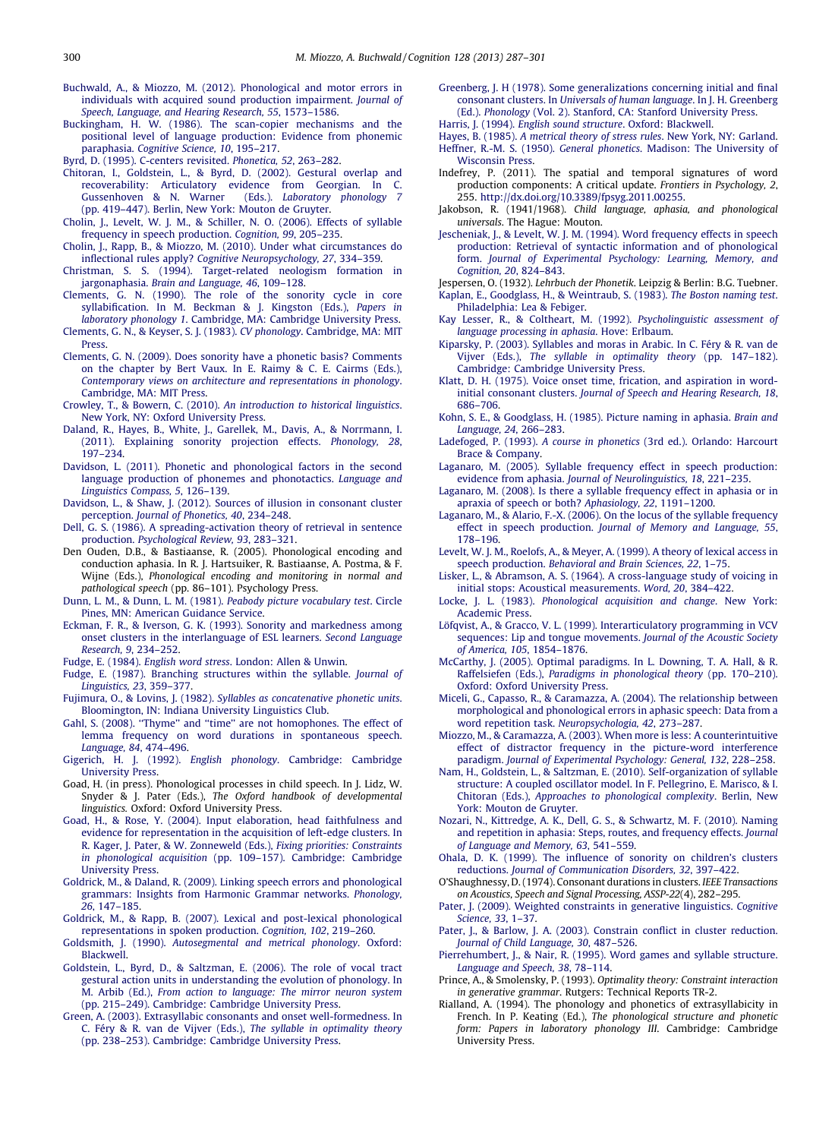<span id="page-13-0"></span>[Buchwald, A., & Miozzo, M. \(2012\). Phonological and motor errors in](http://refhub.elsevier.com/S0010-0277(13)00081-4/h0085) [individuals with acquired sound production impairment.](http://refhub.elsevier.com/S0010-0277(13)00081-4/h0085) Journal of [Speech, Language, and Hearing Research, 55](http://refhub.elsevier.com/S0010-0277(13)00081-4/h0085), 1573–1586.

[Buckingham, H. W. \(1986\). The scan-copier mechanisms and the](http://refhub.elsevier.com/S0010-0277(13)00081-4/h0090) [positional level of language production: Evidence from phonemic](http://refhub.elsevier.com/S0010-0277(13)00081-4/h0090) paraphasia. [Cognitive Science, 10](http://refhub.elsevier.com/S0010-0277(13)00081-4/h0090), 195–217.

[Byrd, D. \(1995\). C-centers revisited.](http://refhub.elsevier.com/S0010-0277(13)00081-4/h0095) Phonetica, 52, 263–282.

- [Chitoran, I., Goldstein, L., & Byrd, D. \(2002\). Gestural overlap and](http://refhub.elsevier.com/S0010-0277(13)00081-4/h0460) [recoverability: Articulatory evidence from Georgian. In C.](http://refhub.elsevier.com/S0010-0277(13)00081-4/h0460)<br>Gussenhoven & N. Warner (Eds.). Laboratory phonology 7 (Eds.). Laboratory phonology 7 [\(pp. 419–447\). Berlin, New York: Mouton de Gruyter.](http://refhub.elsevier.com/S0010-0277(13)00081-4/h0460)
- [Cholin, J., Levelt, W. J. M., & Schiller, N. O. \(2006\). Effects of syllable](http://refhub.elsevier.com/S0010-0277(13)00081-4/h0105) [frequency in speech production.](http://refhub.elsevier.com/S0010-0277(13)00081-4/h0105) Cognition, 99, 205–235.
- [Cholin, J., Rapp, B., & Miozzo, M. \(2010\). Under what circumstances do](http://refhub.elsevier.com/S0010-0277(13)00081-4/h0110) inflectional rules apply? [Cognitive Neuropsychology, 27](http://refhub.elsevier.com/S0010-0277(13)00081-4/h0110), 334–359.
- [Christman, S. S. \(1994\). Target-related neologism formation in](http://refhub.elsevier.com/S0010-0277(13)00081-4/h0115) jargonaphasia. [Brain and Language, 46](http://refhub.elsevier.com/S0010-0277(13)00081-4/h0115), 109–128.
- [Clements, G. N. \(1990\). The role of the sonority cycle in core](http://refhub.elsevier.com/S0010-0277(13)00081-4/h0120) [syllabification. In M. Beckman & J. Kingston \(Eds.\),](http://refhub.elsevier.com/S0010-0277(13)00081-4/h0120) Papers in laboratory phonology 1[. Cambridge, MA: Cambridge University Press.](http://refhub.elsevier.com/S0010-0277(13)00081-4/h0120)
- [Clements, G. N., & Keyser, S. J. \(1983\).](http://refhub.elsevier.com/S0010-0277(13)00081-4/h0130) CV phonology. Cambridge, MA: MIT [Press.](http://refhub.elsevier.com/S0010-0277(13)00081-4/h0130)
- [Clements, G. N. \(2009\). Does sonority have a phonetic basis? Comments](http://refhub.elsevier.com/S0010-0277(13)00081-4/h0125) [on the chapter by Bert Vaux. In E. Raimy & C. E. Cairms \(Eds.\),](http://refhub.elsevier.com/S0010-0277(13)00081-4/h0125) [Contemporary views on architecture and representations in phonology](http://refhub.elsevier.com/S0010-0277(13)00081-4/h0125). [Cambridge, MA: MIT Press.](http://refhub.elsevier.com/S0010-0277(13)00081-4/h0125)
- Crowley, T., & Bowern, C. (2010). [An introduction to historical linguistics](http://refhub.elsevier.com/S0010-0277(13)00081-4/h0135). [New York, NY: Oxford University Press.](http://refhub.elsevier.com/S0010-0277(13)00081-4/h0135)
- [Daland, R., Hayes, B., White, J., Garellek, M., Davis, A., & Norrmann, I.](http://refhub.elsevier.com/S0010-0277(13)00081-4/h0140) [\(2011\). Explaining sonority projection effects.](http://refhub.elsevier.com/S0010-0277(13)00081-4/h0140) Phonology, 28, [197–234.](http://refhub.elsevier.com/S0010-0277(13)00081-4/h0140)
- [Davidson, L. \(2011\). Phonetic and phonological factors in the second](http://refhub.elsevier.com/S0010-0277(13)00081-4/h0145) [language production of phonemes and phonotactics.](http://refhub.elsevier.com/S0010-0277(13)00081-4/h0145) Language and [Linguistics Compass, 5](http://refhub.elsevier.com/S0010-0277(13)00081-4/h0145), 126–139.
- [Davidson, L., & Shaw, J. \(2012\). Sources of illusion in consonant cluster](http://refhub.elsevier.com/S0010-0277(13)00081-4/h0150) perception. [Journal of Phonetics, 40](http://refhub.elsevier.com/S0010-0277(13)00081-4/h0150), 234–248.
- [Dell, G. S. \(1986\). A spreading-activation theory of retrieval in sentence](http://refhub.elsevier.com/S0010-0277(13)00081-4/h0155) production. [Psychological Review, 93](http://refhub.elsevier.com/S0010-0277(13)00081-4/h0155), 283–321.
- Den Ouden, D.B., & Bastiaanse, R. (2005). Phonological encoding and conduction aphasia. In R. J. Hartsuiker, R. Bastiaanse, A. Postma, & F. Wijne (Eds.), Phonological encoding and monitoring in normal and pathological speech (pp. 86–101). Psychology Press.
- [Dunn, L. M., & Dunn, L. M. \(1981\).](http://refhub.elsevier.com/S0010-0277(13)00081-4/h0165) Peabody picture vocabulary test. Circle [Pines, MN: American Guidance Service](http://refhub.elsevier.com/S0010-0277(13)00081-4/h0165).
- [Eckman, F. R., & Iverson, G. K. \(1993\). Sonority and markedness among](http://refhub.elsevier.com/S0010-0277(13)00081-4/h0465) [onset clusters in the interlanguage of ESL learners.](http://refhub.elsevier.com/S0010-0277(13)00081-4/h0465) Second Language [Research, 9](http://refhub.elsevier.com/S0010-0277(13)00081-4/h0465), 234–252.

Fudge, E. (1984). English word stress[. London: Allen & Unwin](http://refhub.elsevier.com/S0010-0277(13)00081-4/h0170).

- [Fudge, E. \(1987\). Branching structures within the syllable.](http://refhub.elsevier.com/S0010-0277(13)00081-4/h0175) Journal of [Linguistics, 23](http://refhub.elsevier.com/S0010-0277(13)00081-4/h0175), 359–377.
- Fujimura, O., & Lovins, J. (1982). [Syllables as concatenative phonetic units](http://refhub.elsevier.com/S0010-0277(13)00081-4/h0180). [Bloomington, IN: Indiana University Linguistics Club](http://refhub.elsevier.com/S0010-0277(13)00081-4/h0180).
- [Gahl, S. \(2008\). ''Thyme'' and ''time'' are not homophones. The effect of](http://refhub.elsevier.com/S0010-0277(13)00081-4/h0185) [lemma frequency on word durations in spontaneous speech.](http://refhub.elsevier.com/S0010-0277(13)00081-4/h0185) [Language, 84](http://refhub.elsevier.com/S0010-0277(13)00081-4/h0185), 474–496.
- Gigerich, H. J. (1992). English phonology[. Cambridge: Cambridge](http://refhub.elsevier.com/S0010-0277(13)00081-4/h0190) [University Press](http://refhub.elsevier.com/S0010-0277(13)00081-4/h0190).
- Goad, H. (in press). Phonological processes in child speech. In J. Lidz, W. Snyder & J. Pater (Eds.), The Oxford handbook of developmental linguistics. Oxford: Oxford University Press.
- [Goad, H., & Rose, Y. \(2004\). Input elaboration, head faithfulness and](http://refhub.elsevier.com/S0010-0277(13)00081-4/h0195) [evidence for representation in the acquisition of left-edge clusters. In](http://refhub.elsevier.com/S0010-0277(13)00081-4/h0195) [R. Kager, J. Pater, & W. Zonneweld \(Eds.\),](http://refhub.elsevier.com/S0010-0277(13)00081-4/h0195) Fixing priorities: Constraints in phonological acquisition [\(pp. 109–157\). Cambridge: Cambridge](http://refhub.elsevier.com/S0010-0277(13)00081-4/h0195) [University Press](http://refhub.elsevier.com/S0010-0277(13)00081-4/h0195).
- [Goldrick, M., & Daland, R. \(2009\). Linking speech errors and phonological](http://refhub.elsevier.com/S0010-0277(13)00081-4/h0200) [grammars: Insights from Harmonic Grammar networks.](http://refhub.elsevier.com/S0010-0277(13)00081-4/h0200) Phonology, 26[, 147–185.](http://refhub.elsevier.com/S0010-0277(13)00081-4/h0200)
- [Goldrick, M., & Rapp, B. \(2007\). Lexical and post-lexical phonological](http://refhub.elsevier.com/S0010-0277(13)00081-4/h0205) [representations in spoken production.](http://refhub.elsevier.com/S0010-0277(13)00081-4/h0205) Cognition, 102, 219–260.
- Goldsmith, J. (1990). [Autosegmental and metrical phonology](http://refhub.elsevier.com/S0010-0277(13)00081-4/h0210). Oxford: [Blackwell](http://refhub.elsevier.com/S0010-0277(13)00081-4/h0210).
- [Goldstein, L., Byrd, D., & Saltzman, E. \(2006\). The role of vocal tract](http://refhub.elsevier.com/S0010-0277(13)00081-4/h0215) [gestural action units in understanding the evolution of phonology. In](http://refhub.elsevier.com/S0010-0277(13)00081-4/h0215) M. Arbib (Ed.), [From action to language: The mirror neuron system](http://refhub.elsevier.com/S0010-0277(13)00081-4/h0215) [\(pp. 215–249\). Cambridge: Cambridge University Press.](http://refhub.elsevier.com/S0010-0277(13)00081-4/h0215)
- [Green, A. \(2003\). Extrasyllabic consonants and onset well-formedness. In](http://refhub.elsevier.com/S0010-0277(13)00081-4/h0220) [C. Féry & R. van de Vijver \(Eds.\),](http://refhub.elsevier.com/S0010-0277(13)00081-4/h0220) The syllable in optimality theory [\(pp. 238–253\). Cambridge: Cambridge University Press.](http://refhub.elsevier.com/S0010-0277(13)00081-4/h0220)
- [Greenberg, J. H \(1978\). Some generalizations concerning initial and final](http://refhub.elsevier.com/S0010-0277(13)00081-4/h0225) consonant clusters. In [Universals of human language](http://refhub.elsevier.com/S0010-0277(13)00081-4/h0225). In J. H. Greenberg (Ed.). Phonology [\(Vol. 2\). Stanford, CA: Stanford University Press.](http://refhub.elsevier.com/S0010-0277(13)00081-4/h0225) Harris, J. (1994). [English sound structure](http://refhub.elsevier.com/S0010-0277(13)00081-4/h0230). Oxford: Blackwell.
- 
- Hayes, B. (1985). [A metrical theory of stress rules](http://refhub.elsevier.com/S0010-0277(13)00081-4/h0235). New York, NY: Garland. Heffner, R.-M. S. (1950). General phonetics[. Madison: The University of](http://refhub.elsevier.com/S0010-0277(13)00081-4/h0240) [Wisconsin Press](http://refhub.elsevier.com/S0010-0277(13)00081-4/h0240).
- Indefrey, P. (2011). The spatial and temporal signatures of word production components: A critical update. Frontiers in Psychology, 2, 255. http://dx.doi.org[/10.3389/fpsyg.2011.00255.](http://dx.doi.org/10.3389/fpsyg.2011.00255)
- Jakobson, R. (1941/1968). Child language, aphasia, and phonological universals. The Hague: Mouton.
- [Jescheniak, J., & Levelt, W. J. M. \(1994\). Word frequency effects in speech](http://refhub.elsevier.com/S0010-0277(13)00081-4/h0250) [production: Retrieval of syntactic information and of phonological](http://refhub.elsevier.com/S0010-0277(13)00081-4/h0250) form. [Journal of Experimental Psychology: Learning, Memory, and](http://refhub.elsevier.com/S0010-0277(13)00081-4/h0250) [Cognition, 20](http://refhub.elsevier.com/S0010-0277(13)00081-4/h0250), 824–843.
- Jespersen, O. (1932). Lehrbuch der Phonetik. Leipzig & Berlin: B.G. Tuebner. [Kaplan, E., Goodglass, H., & Weintraub, S. \(1983\).](http://refhub.elsevier.com/S0010-0277(13)00081-4/h0255) The Boston naming test.
- [Philadelphia: Lea & Febiger](http://refhub.elsevier.com/S0010-0277(13)00081-4/h0255). [Kay Lesser, R., & Coltheart, M. \(1992\).](http://refhub.elsevier.com/S0010-0277(13)00081-4/h0260) Psycholinguistic assessment of [language processing in aphasia](http://refhub.elsevier.com/S0010-0277(13)00081-4/h0260). Hove: Erlbaum.
- [Kiparsky, P. \(2003\). Syllables and moras in Arabic. In C. Féry & R. van de](http://refhub.elsevier.com/S0010-0277(13)00081-4/h0265) Vijver (Eds.), [The syllable in optimality theory](http://refhub.elsevier.com/S0010-0277(13)00081-4/h0265) (pp. 147–182). [Cambridge: Cambridge University Press](http://refhub.elsevier.com/S0010-0277(13)00081-4/h0265).
- [Klatt, D. H. \(1975\). Voice onset time, frication, and aspiration in word](http://refhub.elsevier.com/S0010-0277(13)00081-4/h0270)initial consonant clusters. [Journal of Speech and Hearing Research, 18](http://refhub.elsevier.com/S0010-0277(13)00081-4/h0270), [686–706.](http://refhub.elsevier.com/S0010-0277(13)00081-4/h0270)
- [Kohn, S. E., & Goodglass, H. \(1985\). Picture naming in aphasia.](http://refhub.elsevier.com/S0010-0277(13)00081-4/h0275) Brain and [Language, 24](http://refhub.elsevier.com/S0010-0277(13)00081-4/h0275), 266–283.
- Ladefoged, P. (1993). A course in phonetics [\(3rd ed.\). Orlando: Harcourt](http://refhub.elsevier.com/S0010-0277(13)00081-4/h0280) [Brace & Company](http://refhub.elsevier.com/S0010-0277(13)00081-4/h0280).
- [Laganaro, M. \(2005\). Syllable frequency effect in speech production:](http://refhub.elsevier.com/S0010-0277(13)00081-4/h0285) evidence from aphasia. [Journal of Neurolinguistics, 18](http://refhub.elsevier.com/S0010-0277(13)00081-4/h0285), 221–235.
- [Laganaro, M. \(2008\). Is there a syllable frequency effect in aphasia or in](http://refhub.elsevier.com/S0010-0277(13)00081-4/h0290) [apraxia of speech or both?](http://refhub.elsevier.com/S0010-0277(13)00081-4/h0290) Aphasiology, 22, 1191–1200.
- [Laganaro, M., & Alario, F.-X. \(2006\). On the locus of the syllable frequency](http://refhub.elsevier.com/S0010-0277(13)00081-4/h0295) effect in speech production. [Journal of Memory and Language, 55](http://refhub.elsevier.com/S0010-0277(13)00081-4/h0295), [178–196.](http://refhub.elsevier.com/S0010-0277(13)00081-4/h0295)
- [Levelt, W. J. M., Roelofs, A., & Meyer, A. \(1999\). A theory of lexical access in](http://refhub.elsevier.com/S0010-0277(13)00081-4/h0300) speech production. [Behavioral and Brain Sciences, 22](http://refhub.elsevier.com/S0010-0277(13)00081-4/h0300), 1–75.
- [Lisker, L., & Abramson, A. S. \(1964\). A cross-language study of voicing in](http://refhub.elsevier.com/S0010-0277(13)00081-4/h0305) [initial stops: Acoustical measurements.](http://refhub.elsevier.com/S0010-0277(13)00081-4/h0305) Word, 20, 384–422.
- Locke, J. L. (1983). [Phonological acquisition and change](http://refhub.elsevier.com/S0010-0277(13)00081-4/h0310). New York: [Academic Press](http://refhub.elsevier.com/S0010-0277(13)00081-4/h0310).
- [Löfqvist, A., & Gracco, V. L. \(1999\). Interarticulatory programming in VCV](http://refhub.elsevier.com/S0010-0277(13)00081-4/h0315) [sequences: Lip and tongue movements.](http://refhub.elsevier.com/S0010-0277(13)00081-4/h0315) Journal of the Acoustic Society [of America, 105](http://refhub.elsevier.com/S0010-0277(13)00081-4/h0315), 1854–1876.
- [McCarthy, J. \(2005\). Optimal paradigms. In L. Downing, T. A. Hall, & R.](http://refhub.elsevier.com/S0010-0277(13)00081-4/h0320) Raffelsiefen (Eds.), [Paradigms in phonological theory](http://refhub.elsevier.com/S0010-0277(13)00081-4/h0320) (pp. 170–210). [Oxford: Oxford University Press](http://refhub.elsevier.com/S0010-0277(13)00081-4/h0320).
- [Miceli, G., Capasso, R., & Caramazza, A. \(2004\). The relationship between](http://refhub.elsevier.com/S0010-0277(13)00081-4/h0325) [morphological and phonological errors in aphasic speech: Data from a](http://refhub.elsevier.com/S0010-0277(13)00081-4/h0325) [word repetition task.](http://refhub.elsevier.com/S0010-0277(13)00081-4/h0325) Neuropsychologia, 42, 273–287.
- [Miozzo, M., & Caramazza, A. \(2003\). When more is less: A counterintuitive](http://refhub.elsevier.com/S0010-0277(13)00081-4/h0330) [effect of distractor frequency in the picture-word interference](http://refhub.elsevier.com/S0010-0277(13)00081-4/h0330) paradigm. [Journal of Experimental Psychology: General, 132](http://refhub.elsevier.com/S0010-0277(13)00081-4/h0330), 228–258.
- [Nam, H., Goldstein, L., & Saltzman, E. \(2010\). Self-organization of syllable](http://refhub.elsevier.com/S0010-0277(13)00081-4/h0335) [structure: A coupled oscillator model. In F. Pellegrino, E. Marisco, & I.](http://refhub.elsevier.com/S0010-0277(13)00081-4/h0335) Chitoran (Eds.), [Approaches to phonological complexity](http://refhub.elsevier.com/S0010-0277(13)00081-4/h0335). Berlin, New [York: Mouton de Gruyter](http://refhub.elsevier.com/S0010-0277(13)00081-4/h0335).
- [Nozari, N., Kittredge, A. K., Dell, G. S., & Schwartz, M. F. \(2010\). Naming](http://refhub.elsevier.com/S0010-0277(13)00081-4/h0340) [and repetition in aphasia: Steps, routes, and frequency effects.](http://refhub.elsevier.com/S0010-0277(13)00081-4/h0340) Journal [of Language and Memory, 63](http://refhub.elsevier.com/S0010-0277(13)00081-4/h0340), 541–559.
- [Ohala, D. K. \(1999\). The influence of sonority on children's clusters](http://refhub.elsevier.com/S0010-0277(13)00081-4/h0345) reductions. [Journal of Communication Disorders, 32](http://refhub.elsevier.com/S0010-0277(13)00081-4/h0345), 397–422.
- O'Shaughnessy, D. (1974). Consonant durations in clusters. IEEE Transactions on Acoustics, Speech and Signal Processing, ASSP-22(4), 282–295.
- [Pater, J. \(2009\). Weighted constraints in generative linguistics.](http://refhub.elsevier.com/S0010-0277(13)00081-4/h0350) Cognitive [Science, 33](http://refhub.elsevier.com/S0010-0277(13)00081-4/h0350), 1–37.
- [Pater, J., & Barlow, J. A. \(2003\). Constrain conflict in cluster reduction.](http://refhub.elsevier.com/S0010-0277(13)00081-4/h0355) [Journal of Child Language, 30](http://refhub.elsevier.com/S0010-0277(13)00081-4/h0355), 487–526.
- [Pierrehumbert, J., & Nair, R. \(1995\). Word games and syllable structure.](http://refhub.elsevier.com/S0010-0277(13)00081-4/h0360) [Language and Speech, 38](http://refhub.elsevier.com/S0010-0277(13)00081-4/h0360), 78–114.
- Prince, A., & Smolensky, P. (1993). Optimality theory: Constraint interaction in generative grammar. Rutgers: Technical Reports TR-2.
- Rialland, A. (1994). The phonology and phonetics of extrasyllabicity in French. In P. Keating (Ed.), The phonological structure and phonetic form: Papers in laboratory phonology III. Cambridge: Cambridge University Press.